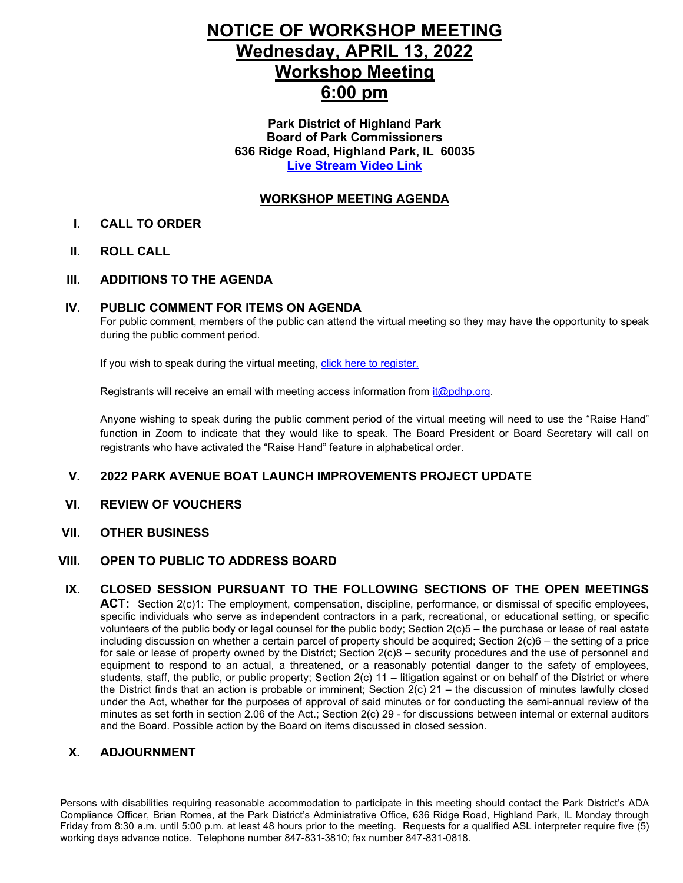# **NOTICE OF WORKSHOP MEETING Wednesday, APRIL 13, 2022 Workshop Meeting 6:00 pm**

**Park District of Highland Park Board of Park Commissioners 636 Ridge Road, Highland Park, IL 60035 [Live Stream](https://youtu.be/giwNYLXmeHk) Video Link**

#### **WORKSHOP MEETING AGENDA**

#### **I. CALL TO ORDER**

**II. ROLL CALL**

#### **III. ADDITIONS TO THE AGENDA**

#### **IV. PUBLIC COMMENT FOR ITEMS ON AGENDA**

For public comment, members of the public can attend the virtual meeting so they may have the opportunity to speak during the public comment period.

If you wish to speak during the virtual meeting, [click here to register.](https://us02web.zoom.us/webinar/register/WN_WroTFt4cQ1KNuttoBVlx7Q)

Registrants will receive an email with meeting access information from [it@pdhp.org.](mailto:it@pdhp.org)

Anyone wishing to speak during the public comment period of the virtual meeting will need to use the "Raise Hand" function in Zoom to indicate that they would like to speak. The Board President or Board Secretary will call on registrants who have activated the "Raise Hand" feature in alphabetical order.

#### **V. 2022 PARK AVENUE BOAT LAUNCH IMPROVEMENTS PROJECT UPDATE**

**VI. REVIEW OF VOUCHERS**

#### **VII. OTHER BUSINESS**

#### **VIII. OPEN TO PUBLIC TO ADDRESS BOARD**

#### **IX. CLOSED SESSION PURSUANT TO THE FOLLOWING SECTIONS OF THE OPEN MEETINGS**

**ACT:** Section 2(c)1: The employment, compensation, discipline, performance, or dismissal of specific employees, specific individuals who serve as independent contractors in a park, recreational, or educational setting, or specific volunteers of the public body or legal counsel for the public body; Section 2(c)5 – the purchase or lease of real estate including discussion on whether a certain parcel of property should be acquired; Section 2(c)6 – the setting of a price for sale or lease of property owned by the District; Section 2(c)8 – security procedures and the use of personnel and equipment to respond to an actual, a threatened, or a reasonably potential danger to the safety of employees, students, staff, the public, or public property; Section 2(c) 11 – litigation against or on behalf of the District or where the District finds that an action is probable or imminent; Section 2(c) 21 – the discussion of minutes lawfully closed under the Act, whether for the purposes of approval of said minutes or for conducting the semi-annual review of the minutes as set forth in section 2.06 of the Act.; Section 2(c) 29 - for discussions between internal or external auditors and the Board. Possible action by the Board on items discussed in closed session.

#### **X. ADJOURNMENT**

Persons with disabilities requiring reasonable accommodation to participate in this meeting should contact the Park District's ADA Compliance Officer, Brian Romes, at the Park District's Administrative Office, 636 Ridge Road, Highland Park, IL Monday through Friday from 8:30 a.m. until 5:00 p.m. at least 48 hours prior to the meeting. Requests for a qualified ASL interpreter require five (5) working days advance notice. Telephone number 847-831-3810; fax number 847-831-0818.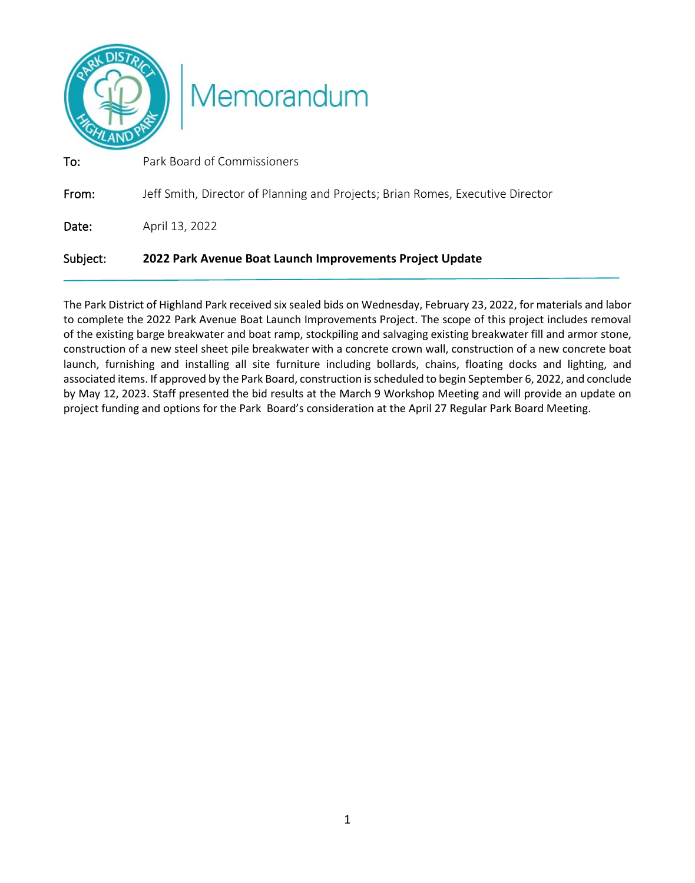

| Subject: | 2022 Park Avenue Boat Launch Improvements Project Update                       |
|----------|--------------------------------------------------------------------------------|
| Date:    | April 13, 2022                                                                 |
| From:    | Jeff Smith, Director of Planning and Projects; Brian Romes, Executive Director |
| To:      | Park Board of Commissioners                                                    |

The Park District of Highland Park received six sealed bids on Wednesday, February 23, 2022, for materials and labor to complete the 2022 Park Avenue Boat Launch Improvements Project. The scope of this project includes removal of the existing barge breakwater and boat ramp, stockpiling and salvaging existing breakwater fill and armor stone, construction of a new steel sheet pile breakwater with a concrete crown wall, construction of a new concrete boat launch, furnishing and installing all site furniture including bollards, chains, floating docks and lighting, and associated items. If approved by the Park Board, construction is scheduled to begin September 6, 2022, and conclude by May 12, 2023. Staff presented the bid results at the March 9 Workshop Meeting and will provide an update on project funding and options for the Park Board's consideration at the April 27 Regular Park Board Meeting.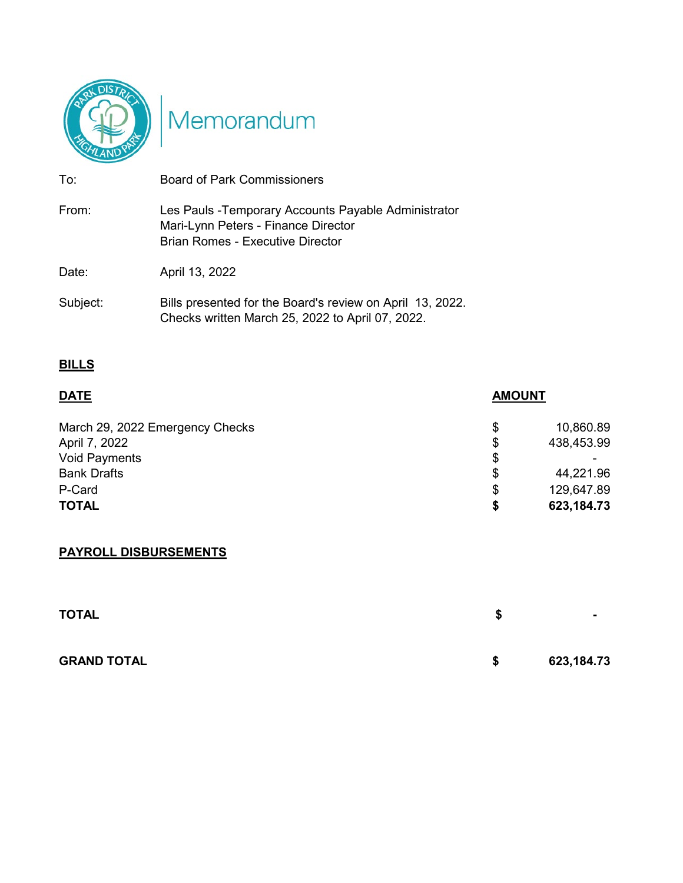

# Memorandum

| To:      | <b>Board of Park Commissioners</b>                                                                                                     |
|----------|----------------------------------------------------------------------------------------------------------------------------------------|
| From:    | Les Pauls - Temporary Accounts Payable Administrator<br>Mari-Lynn Peters - Finance Director<br><b>Brian Romes - Executive Director</b> |
| Date:    | April 13, 2022                                                                                                                         |
| Subject: | Bills presented for the Board's review on April 13, 2022.<br>Checks written March 25, 2022 to April 07, 2022.                          |

### **BILLS**

| <b>DATE</b>                     | <b>AMOUNT</b> |            |
|---------------------------------|---------------|------------|
| March 29, 2022 Emergency Checks | S             | 10,860.89  |
| April 7, 2022                   | \$            | 438,453.99 |
| <b>Void Payments</b>            | \$            |            |
| <b>Bank Drafts</b>              | \$            | 44,221.96  |
| P-Card                          | \$            | 129,647.89 |
| <b>TOTAL</b>                    | S             | 623,184.73 |

## **PAYROLL DISBURSEMENTS**

| <b>TOTAL</b>       | S  | $\blacksquare$ |
|--------------------|----|----------------|
| <b>GRAND TOTAL</b> | \$ | 623,184.73     |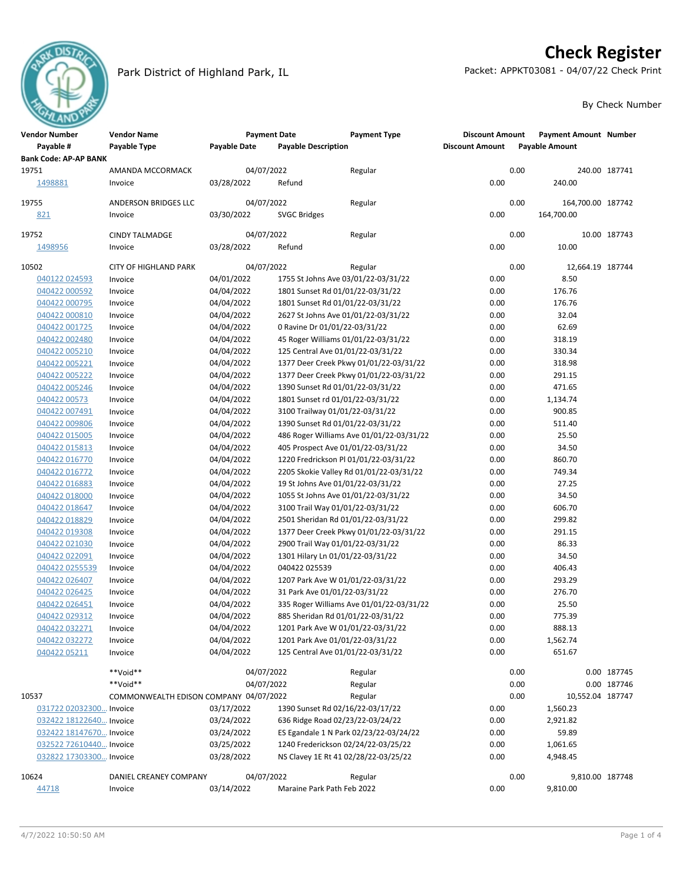

#### Park District of Highland Park, IL Packet: APPKT03081 - 04/07/22 Check Print

# **Check Register**

#### By Check Number

| <b>Vendor Number</b>         | <b>Vendor Name</b>                     |                     | <b>Payment Date</b>           | <b>Payment Type</b>                      | <b>Discount Amount</b> |      | <b>Payment Amount Number</b> |               |
|------------------------------|----------------------------------------|---------------------|-------------------------------|------------------------------------------|------------------------|------|------------------------------|---------------|
| Payable #                    | Payable Type                           | <b>Payable Date</b> | <b>Payable Description</b>    |                                          | <b>Discount Amount</b> |      | <b>Payable Amount</b>        |               |
| <b>Bank Code: AP-AP BANK</b> |                                        |                     |                               |                                          |                        |      |                              |               |
| 19751                        | AMANDA MCCORMACK                       |                     | 04/07/2022                    | Regular                                  |                        | 0.00 |                              | 240.00 187741 |
| 1498881                      | Invoice                                | 03/28/2022          | Refund                        |                                          | 0.00                   |      | 240.00                       |               |
|                              |                                        |                     |                               |                                          |                        |      |                              |               |
| 19755                        | ANDERSON BRIDGES LLC                   |                     | 04/07/2022                    | Regular                                  |                        | 0.00 | 164,700.00 187742            |               |
| 821                          | Invoice                                | 03/30/2022          | <b>SVGC Bridges</b>           |                                          | 0.00                   |      | 164,700.00                   |               |
|                              |                                        |                     |                               |                                          |                        |      |                              |               |
| 19752                        | <b>CINDY TALMADGE</b>                  |                     | 04/07/2022                    | Regular                                  |                        | 0.00 |                              | 10.00 187743  |
| 1498956                      | Invoice                                | 03/28/2022          | Refund                        |                                          | 0.00                   |      | 10.00                        |               |
| 10502                        | <b>CITY OF HIGHLAND PARK</b>           |                     | 04/07/2022                    | Regular                                  |                        | 0.00 | 12,664.19 187744             |               |
| 040122 024593                | Invoice                                | 04/01/2022          |                               | 1755 St Johns Ave 03/01/22-03/31/22      | 0.00                   |      | 8.50                         |               |
| 040422 000592                | Invoice                                | 04/04/2022          |                               | 1801 Sunset Rd 01/01/22-03/31/22         | 0.00                   |      | 176.76                       |               |
| 040422 000795                | Invoice                                | 04/04/2022          |                               | 1801 Sunset Rd 01/01/22-03/31/22         | 0.00                   |      | 176.76                       |               |
| 040422 000810                | Invoice                                | 04/04/2022          |                               | 2627 St Johns Ave 01/01/22-03/31/22      | 0.00                   |      | 32.04                        |               |
| 040422 001725                | Invoice                                | 04/04/2022          | 0 Ravine Dr 01/01/22-03/31/22 |                                          | 0.00                   |      | 62.69                        |               |
| 040422 002480                | Invoice                                | 04/04/2022          |                               | 45 Roger Williams 01/01/22-03/31/22      | 0.00                   |      | 318.19                       |               |
| 040422 005210                | Invoice                                | 04/04/2022          |                               | 125 Central Ave 01/01/22-03/31/22        | 0.00                   |      | 330.34                       |               |
| 040422 005221                | Invoice                                | 04/04/2022          |                               | 1377 Deer Creek Pkwy 01/01/22-03/31/22   | 0.00                   |      | 318.98                       |               |
| 040422 005222                | Invoice                                | 04/04/2022          |                               | 1377 Deer Creek Pkwy 01/01/22-03/31/22   | 0.00                   |      | 291.15                       |               |
| 040422 005246                | Invoice                                | 04/04/2022          |                               | 1390 Sunset Rd 01/01/22-03/31/22         | 0.00                   |      | 471.65                       |               |
| 040422 00573                 | Invoice                                | 04/04/2022          |                               | 1801 Sunset rd 01/01/22-03/31/22         | 0.00                   |      | 1,134.74                     |               |
| 040422 007491                | Invoice                                | 04/04/2022          |                               | 3100 Trailway 01/01/22-03/31/22          | 0.00                   |      | 900.85                       |               |
| 040422 009806                | Invoice                                | 04/04/2022          |                               | 1390 Sunset Rd 01/01/22-03/31/22         | 0.00                   |      | 511.40                       |               |
|                              |                                        |                     |                               |                                          |                        |      |                              |               |
| 040422 015005                | Invoice                                | 04/04/2022          |                               | 486 Roger Williams Ave 01/01/22-03/31/22 | 0.00<br>0.00           |      | 25.50<br>34.50               |               |
| 040422 015813                | Invoice                                | 04/04/2022          |                               | 405 Prospect Ave 01/01/22-03/31/22       |                        |      |                              |               |
| 040422 016770                | Invoice                                | 04/04/2022          |                               | 1220 Fredrickson Pl 01/01/22-03/31/22    | 0.00                   |      | 860.70                       |               |
| 040422 016772                | Invoice                                | 04/04/2022          |                               | 2205 Skokie Valley Rd 01/01/22-03/31/22  | 0.00                   |      | 749.34                       |               |
| 040422 016883                | Invoice                                | 04/04/2022          |                               | 19 St Johns Ave 01/01/22-03/31/22        | 0.00                   |      | 27.25                        |               |
| 040422 018000                | Invoice                                | 04/04/2022          |                               | 1055 St Johns Ave 01/01/22-03/31/22      | 0.00                   |      | 34.50                        |               |
| 040422 018647                | Invoice                                | 04/04/2022          |                               | 3100 Trail Way 01/01/22-03/31/22         | 0.00                   |      | 606.70                       |               |
| 040422 018829                | Invoice                                | 04/04/2022          |                               | 2501 Sheridan Rd 01/01/22-03/31/22       | 0.00                   |      | 299.82                       |               |
| 040422 019308                | Invoice                                | 04/04/2022          |                               | 1377 Deer Creek Pkwy 01/01/22-03/31/22   | 0.00                   |      | 291.15                       |               |
| 040422 021030                | Invoice                                | 04/04/2022          |                               | 2900 Trail Way 01/01/22-03/31/22         | 0.00                   |      | 86.33                        |               |
| 040422 022091                | Invoice                                | 04/04/2022          |                               | 1301 Hilary Ln 01/01/22-03/31/22         | 0.00                   |      | 34.50                        |               |
| 040422 0255539               | Invoice                                | 04/04/2022          | 040422 025539                 |                                          | 0.00                   |      | 406.43                       |               |
| 040422 026407                | Invoice                                | 04/04/2022          |                               | 1207 Park Ave W 01/01/22-03/31/22        | 0.00                   |      | 293.29                       |               |
| 040422 026425                | Invoice                                | 04/04/2022          | 31 Park Ave 01/01/22-03/31/22 |                                          | 0.00                   |      | 276.70                       |               |
| 040422 026451                | Invoice                                | 04/04/2022          |                               | 335 Roger Williams Ave 01/01/22-03/31/22 | 0.00                   |      | 25.50                        |               |
| 040422 029312                | Invoice                                | 04/04/2022          |                               | 885 Sheridan Rd 01/01/22-03/31/22        | 0.00                   |      | 775.39                       |               |
| 040422 032271                | Invoice                                | 04/04/2022          |                               | 1201 Park Ave W 01/01/22-03/31/22        | 0.00                   |      | 888.13                       |               |
| 040422 032272                | Invoice                                | 04/04/2022          |                               | 1201 Park Ave 01/01/22-03/31/22          | 0.00                   |      | 1,562.74                     |               |
| 040422 05211                 | Invoice                                | 04/04/2022          |                               | 125 Central Ave 01/01/22-03/31/22        | 0.00                   |      | 651.67                       |               |
|                              | **Void**                               |                     | 04/07/2022                    | Regular                                  |                        | 0.00 |                              | 0.00 187745   |
|                              | **Void**                               |                     | 04/07/2022                    | Regular                                  |                        | 0.00 |                              | 0.00 187746   |
| 10537                        | COMMONWEALTH EDISON COMPANY 04/07/2022 |                     |                               | Regular                                  |                        | 0.00 | 10,552.04 187747             |               |
| 031722 02032300 Invoice      |                                        | 03/17/2022          |                               | 1390 Sunset Rd 02/16/22-03/17/22         | 0.00                   |      | 1,560.23                     |               |
| 032422 18122640 Invoice      |                                        | 03/24/2022          |                               | 636 Ridge Road 02/23/22-03/24/22         | 0.00                   |      | 2,921.82                     |               |
| 032422 18147670 Invoice      |                                        | 03/24/2022          |                               | ES Egandale 1 N Park 02/23/22-03/24/22   | 0.00                   |      | 59.89                        |               |
| 032522 72610440 Invoice      |                                        | 03/25/2022          |                               | 1240 Frederickson 02/24/22-03/25/22      | 0.00                   |      | 1,061.65                     |               |
| 032822 17303300 Invoice      |                                        | 03/28/2022          |                               | NS Clavey 1E Rt 41 02/28/22-03/25/22     | 0.00                   |      | 4,948.45                     |               |
|                              |                                        |                     |                               |                                          |                        |      |                              |               |
| 10624                        | DANIEL CREANEY COMPANY                 |                     | 04/07/2022                    | Regular                                  |                        | 0.00 | 9,810.00 187748              |               |
| 44718                        | Invoice                                | 03/14/2022          | Maraine Park Path Feb 2022    |                                          | 0.00                   |      | 9,810.00                     |               |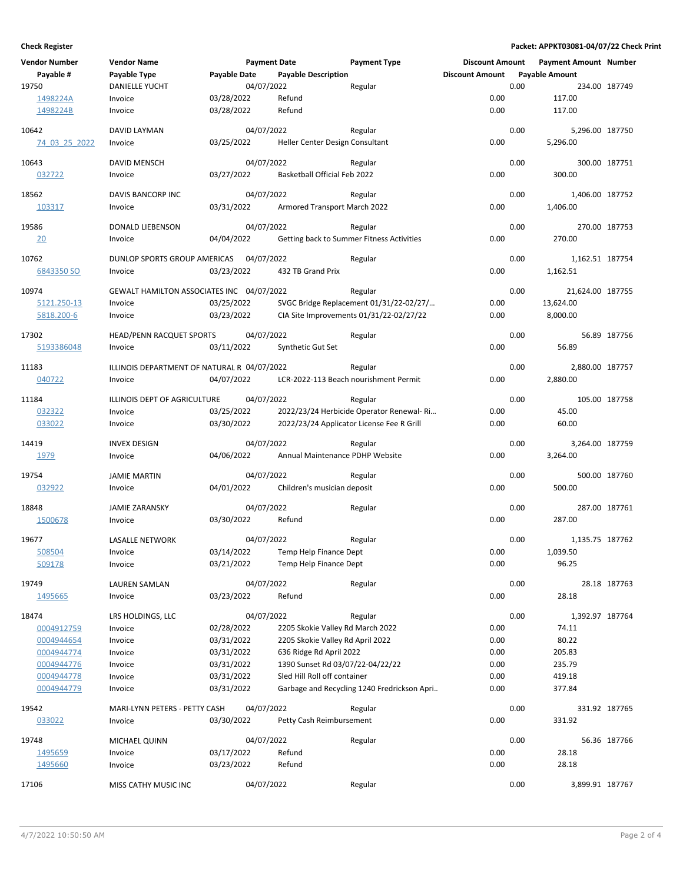#### **Check Register Packet: APPKT03081-04/07/22 Check Print**

| <b>Vendor Number</b>     | <b>Vendor Name</b>                          |                     | <b>Payment Date</b> |                                  | <b>Payment Type</b>                         | <b>Discount Amount</b> |      | <b>Payment Amount Number</b> |               |
|--------------------------|---------------------------------------------|---------------------|---------------------|----------------------------------|---------------------------------------------|------------------------|------|------------------------------|---------------|
| Payable #                | Payable Type                                | <b>Payable Date</b> |                     | <b>Payable Description</b>       |                                             | <b>Discount Amount</b> |      | <b>Payable Amount</b>        |               |
| 19750                    | <b>DANIELLE YUCHT</b>                       |                     | 04/07/2022          |                                  | Regular                                     |                        | 0.00 |                              | 234.00 187749 |
| 1498224A                 | Invoice                                     | 03/28/2022          |                     | Refund                           |                                             | 0.00                   |      | 117.00                       |               |
| 1498224B                 | Invoice                                     | 03/28/2022          |                     | Refund                           |                                             | 0.00                   |      | 117.00                       |               |
|                          |                                             |                     |                     |                                  |                                             |                        |      |                              |               |
| 10642                    | DAVID LAYMAN                                |                     | 04/07/2022          |                                  | Regular                                     |                        | 0.00 | 5,296.00 187750              |               |
| 74 03 25 2022            | Invoice                                     | 03/25/2022          |                     | Heller Center Design Consultant  |                                             | 0.00                   |      | 5,296.00                     |               |
| 10643                    | DAVID MENSCH                                |                     | 04/07/2022          |                                  | Regular                                     |                        | 0.00 |                              | 300.00 187751 |
| 032722                   | Invoice                                     | 03/27/2022          |                     | Basketball Official Feb 2022     |                                             | 0.00                   |      | 300.00                       |               |
|                          |                                             |                     |                     |                                  |                                             |                        |      |                              |               |
| 18562                    | DAVIS BANCORP INC                           |                     | 04/07/2022          |                                  | Regular                                     |                        | 0.00 | 1,406.00 187752              |               |
| 103317                   | Invoice                                     | 03/31/2022          |                     | Armored Transport March 2022     |                                             | 0.00                   |      | 1,406.00                     |               |
|                          |                                             |                     |                     |                                  |                                             |                        |      |                              |               |
| 19586                    | DONALD LIEBENSON                            |                     | 04/07/2022          |                                  | Regular                                     |                        | 0.00 |                              | 270.00 187753 |
| 20                       | Invoice                                     | 04/04/2022          |                     |                                  | Getting back to Summer Fitness Activities   | 0.00                   |      | 270.00                       |               |
| 10762                    | DUNLOP SPORTS GROUP AMERICAS 04/07/2022     |                     |                     |                                  | Regular                                     |                        | 0.00 | 1,162.51 187754              |               |
| 6843350 SO               | Invoice                                     | 03/23/2022          |                     | 432 TB Grand Prix                |                                             | 0.00                   |      | 1,162.51                     |               |
|                          |                                             |                     |                     |                                  |                                             |                        |      |                              |               |
| 10974                    | GEWALT HAMILTON ASSOCIATES INC 04/07/2022   |                     |                     |                                  | Regular                                     |                        | 0.00 | 21,624.00 187755             |               |
| 5121.250-13              | Invoice                                     | 03/25/2022          |                     |                                  | SVGC Bridge Replacement 01/31/22-02/27/     | 0.00                   |      | 13,624.00                    |               |
| 5818.200-6               | Invoice                                     | 03/23/2022          |                     |                                  | CIA Site Improvements 01/31/22-02/27/22     | 0.00                   |      | 8,000.00                     |               |
|                          | <b>HEAD/PENN RACQUET SPORTS</b>             |                     |                     |                                  |                                             |                        |      |                              |               |
| 17302<br>5193386048      |                                             | 03/11/2022          | 04/07/2022          |                                  | Regular                                     | 0.00                   | 0.00 | 56.89                        | 56.89 187756  |
|                          | Invoice                                     |                     |                     | Synthetic Gut Set                |                                             |                        |      |                              |               |
| 11183                    | ILLINOIS DEPARTMENT OF NATURAL R 04/07/2022 |                     |                     |                                  | Regular                                     |                        | 0.00 | 2,880.00 187757              |               |
| 040722                   | Invoice                                     | 04/07/2022          |                     |                                  | LCR-2022-113 Beach nourishment Permit       | 0.00                   |      | 2,880.00                     |               |
|                          |                                             |                     |                     |                                  |                                             |                        |      |                              |               |
| 11184                    | ILLINOIS DEPT OF AGRICULTURE                |                     | 04/07/2022          |                                  | Regular                                     |                        | 0.00 |                              | 105.00 187758 |
| 032322                   | Invoice                                     | 03/25/2022          |                     |                                  | 2022/23/24 Herbicide Operator Renewal-Ri    | 0.00                   |      | 45.00                        |               |
| 033022                   | Invoice                                     | 03/30/2022          |                     |                                  | 2022/23/24 Applicator License Fee R Grill   | 0.00                   |      | 60.00                        |               |
| 14419                    | <b>INVEX DESIGN</b>                         |                     | 04/07/2022          |                                  | Regular                                     |                        | 0.00 | 3,264.00 187759              |               |
| 1979                     | Invoice                                     | 04/06/2022          |                     | Annual Maintenance PDHP Website  |                                             | 0.00                   |      | 3,264.00                     |               |
|                          |                                             |                     |                     |                                  |                                             |                        |      |                              |               |
| 19754                    | <b>JAMIE MARTIN</b>                         |                     | 04/07/2022          |                                  | Regular                                     |                        | 0.00 |                              | 500.00 187760 |
| 032922                   | Invoice                                     | 04/01/2022          |                     | Children's musician deposit      |                                             | 0.00                   |      | 500.00                       |               |
|                          |                                             |                     |                     |                                  |                                             |                        |      |                              |               |
| 18848                    | <b>JAMIE ZARANSKY</b>                       |                     | 04/07/2022          |                                  | Regular                                     |                        | 0.00 |                              | 287.00 187761 |
| 1500678                  | Invoice                                     | 03/30/2022          |                     | Refund                           |                                             | 0.00                   |      | 287.00                       |               |
| 19677                    | <b>LASALLE NETWORK</b>                      |                     | 04/07/2022          |                                  | Regular                                     |                        | 0.00 | 1,135.75 187762              |               |
| 508504                   | Invoice                                     | 03/14/2022          |                     | Temp Help Finance Dept           |                                             | 0.00                   |      | 1,039.50                     |               |
| 509178                   | Invoice                                     | 03/21/2022          |                     | Temp Help Finance Dept           |                                             | 0.00                   |      | 96.25                        |               |
|                          |                                             |                     |                     |                                  |                                             |                        |      |                              |               |
| 19749                    | LAUREN SAMLAN                               |                     | 04/07/2022          |                                  | Regular                                     |                        | 0.00 |                              | 28.18 187763  |
| 1495665                  | Invoice                                     | 03/23/2022          |                     | Refund                           |                                             | 0.00                   |      | 28.18                        |               |
| 18474                    | LRS HOLDINGS, LLC                           |                     | 04/07/2022          |                                  | Regular                                     |                        | 0.00 | 1,392.97 187764              |               |
| 0004912759               | Invoice                                     | 02/28/2022          |                     | 2205 Skokie Valley Rd March 2022 |                                             | 0.00                   |      | 74.11                        |               |
| 0004944654               | Invoice                                     | 03/31/2022          |                     | 2205 Skokie Valley Rd April 2022 |                                             | 0.00                   |      | 80.22                        |               |
| 0004944774               | Invoice                                     | 03/31/2022          |                     | 636 Ridge Rd April 2022          |                                             | 0.00                   |      | 205.83                       |               |
| 0004944776               |                                             | 03/31/2022          |                     | 1390 Sunset Rd 03/07/22-04/22/22 |                                             | 0.00                   |      | 235.79                       |               |
|                          | Invoice                                     |                     |                     | Sled Hill Roll off container     |                                             |                        |      |                              |               |
| 0004944778<br>0004944779 | Invoice                                     | 03/31/2022          |                     |                                  | Garbage and Recycling 1240 Fredrickson Apri | 0.00<br>0.00           |      | 419.18<br>377.84             |               |
|                          | Invoice                                     | 03/31/2022          |                     |                                  |                                             |                        |      |                              |               |
| 19542                    | MARI-LYNN PETERS - PETTY CASH               |                     | 04/07/2022          |                                  | Regular                                     |                        | 0.00 |                              | 331.92 187765 |
| 033022                   | Invoice                                     | 03/30/2022          |                     | Petty Cash Reimbursement         |                                             | 0.00                   |      | 331.92                       |               |
|                          |                                             |                     |                     |                                  |                                             |                        |      |                              |               |
| 19748                    | MICHAEL QUINN                               |                     | 04/07/2022          |                                  | Regular                                     |                        | 0.00 |                              | 56.36 187766  |
| 1495659                  | Invoice                                     | 03/17/2022          |                     | Refund                           |                                             | 0.00                   |      | 28.18                        |               |
| 1495660                  | Invoice                                     | 03/23/2022          |                     | Refund                           |                                             | 0.00                   |      | 28.18                        |               |
| 17106                    | MISS CATHY MUSIC INC                        |                     | 04/07/2022          |                                  | Regular                                     |                        | 0.00 | 3,899.91 187767              |               |
|                          |                                             |                     |                     |                                  |                                             |                        |      |                              |               |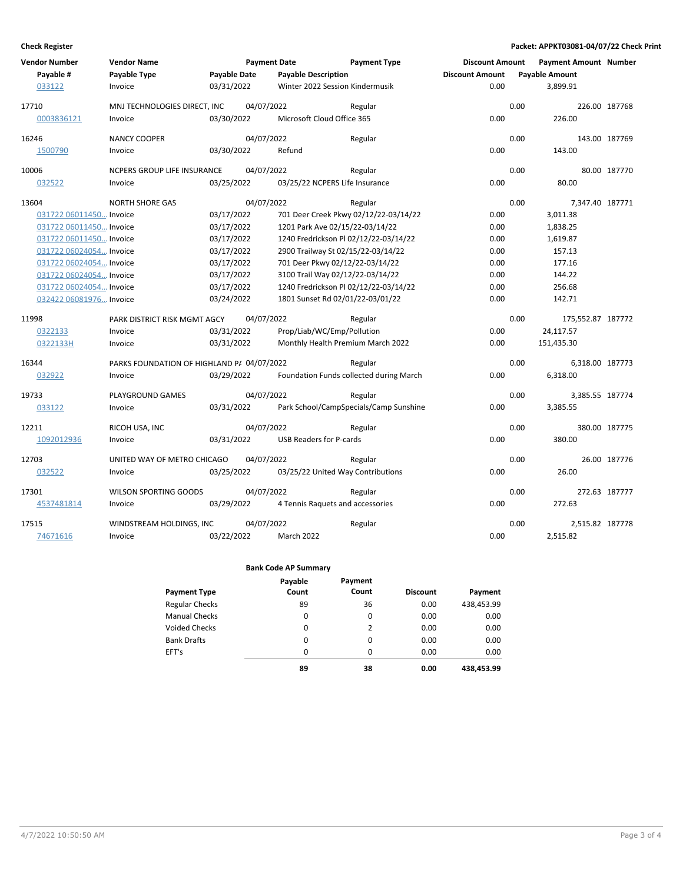#### **Check Register Packet: APPKT03081-04/07/22 Check Print**

| <b>Vendor Number</b>    | <b>Vendor Name</b>                         |                     | <b>Payment Date</b> |                                       | <b>Payment Type</b>                     | <b>Discount Amount</b> |      | <b>Payment Amount Number</b> |               |
|-------------------------|--------------------------------------------|---------------------|---------------------|---------------------------------------|-----------------------------------------|------------------------|------|------------------------------|---------------|
| Payable #               | Payable Type                               | <b>Payable Date</b> |                     | <b>Payable Description</b>            |                                         | <b>Discount Amount</b> |      | <b>Payable Amount</b>        |               |
| 033122                  | Invoice                                    | 03/31/2022          |                     | Winter 2022 Session Kindermusik       |                                         | 0.00                   |      | 3,899.91                     |               |
| 17710                   | MNJ TECHNOLOGIES DIRECT, INC               |                     | 04/07/2022          |                                       | Regular                                 |                        | 0.00 |                              | 226.00 187768 |
| 0003836121              | Invoice                                    | 03/30/2022          |                     | Microsoft Cloud Office 365            |                                         | 0.00                   |      | 226.00                       |               |
| 16246                   | <b>NANCY COOPER</b>                        |                     | 04/07/2022          |                                       | Regular                                 |                        | 0.00 |                              | 143.00 187769 |
| 1500790                 | Invoice                                    | 03/30/2022          |                     | Refund                                |                                         | 0.00                   |      | 143.00                       |               |
| 10006                   | NCPERS GROUP LIFE INSURANCE                |                     | 04/07/2022          |                                       | Regular                                 |                        | 0.00 |                              | 80.00 187770  |
| 032522                  | Invoice                                    | 03/25/2022          |                     | 03/25/22 NCPERS Life Insurance        |                                         | 0.00                   |      | 80.00                        |               |
| 13604                   | <b>NORTH SHORE GAS</b>                     |                     | 04/07/2022          |                                       | Regular                                 |                        | 0.00 | 7,347.40 187771              |               |
| 031722 06011450 Invoice |                                            | 03/17/2022          |                     |                                       | 701 Deer Creek Pkwy 02/12/22-03/14/22   | 0.00                   |      | 3,011.38                     |               |
| 031722 06011450 Invoice |                                            | 03/17/2022          |                     | 1201 Park Ave 02/15/22-03/14/22       |                                         | 0.00                   |      | 1,838.25                     |               |
| 031722 06011450 Invoice |                                            | 03/17/2022          |                     | 1240 Fredrickson Pl 02/12/22-03/14/22 |                                         | 0.00                   |      | 1,619.87                     |               |
| 031722 06024054 Invoice |                                            | 03/17/2022          |                     | 2900 Trailway St 02/15/22-03/14/22    |                                         | 0.00                   |      | 157.13                       |               |
| 031722 06024054 Invoice |                                            | 03/17/2022          |                     | 701 Deer Pkwy 02/12/22-03/14/22       |                                         | 0.00                   |      | 177.16                       |               |
| 031722 06024054 Invoice |                                            | 03/17/2022          |                     | 3100 Trail Way 02/12/22-03/14/22      |                                         | 0.00                   |      | 144.22                       |               |
| 031722 06024054 Invoice |                                            | 03/17/2022          |                     |                                       | 1240 Fredrickson Pl 02/12/22-03/14/22   | 0.00                   |      | 256.68                       |               |
| 032422 06081976 Invoice |                                            | 03/24/2022          |                     | 1801 Sunset Rd 02/01/22-03/01/22      |                                         | 0.00                   |      | 142.71                       |               |
| 11998                   | PARK DISTRICT RISK MGMT AGCY               |                     | 04/07/2022          |                                       | Regular                                 |                        | 0.00 | 175,552.87 187772            |               |
| 0322133                 | Invoice                                    | 03/31/2022          |                     | Prop/Liab/WC/Emp/Pollution            |                                         | 0.00                   |      | 24,117.57                    |               |
| 0322133H                | Invoice                                    | 03/31/2022          |                     | Monthly Health Premium March 2022     |                                         | 0.00                   |      | 151,435.30                   |               |
| 16344                   | PARKS FOUNDATION OF HIGHLAND P/ 04/07/2022 |                     |                     |                                       | Regular                                 |                        | 0.00 | 6,318.00 187773              |               |
| 032922                  | Invoice                                    | 03/29/2022          |                     |                                       | Foundation Funds collected during March | 0.00                   |      | 6,318.00                     |               |
| 19733                   | PLAYGROUND GAMES                           |                     | 04/07/2022          |                                       | Regular                                 |                        | 0.00 | 3,385.55 187774              |               |
| 033122                  | Invoice                                    | 03/31/2022          |                     |                                       | Park School/CampSpecials/Camp Sunshine  | 0.00                   |      | 3,385.55                     |               |
| 12211                   | RICOH USA, INC                             |                     | 04/07/2022          |                                       | Regular                                 |                        | 0.00 |                              | 380.00 187775 |
| 1092012936              | Invoice                                    | 03/31/2022          |                     | <b>USB Readers for P-cards</b>        |                                         | 0.00                   |      | 380.00                       |               |
| 12703                   | UNITED WAY OF METRO CHICAGO                |                     | 04/07/2022          |                                       | Regular                                 |                        | 0.00 |                              | 26.00 187776  |
| 032522                  | Invoice                                    | 03/25/2022          |                     | 03/25/22 United Way Contributions     |                                         | 0.00                   |      | 26.00                        |               |
| 17301                   | WILSON SPORTING GOODS                      |                     | 04/07/2022          |                                       | Regular                                 |                        | 0.00 |                              | 272.63 187777 |
| 4537481814              | Invoice                                    | 03/29/2022          |                     | 4 Tennis Raquets and accessories      |                                         | 0.00                   |      | 272.63                       |               |
| 17515                   | WINDSTREAM HOLDINGS, INC                   |                     | 04/07/2022          |                                       | Regular                                 |                        | 0.00 | 2,515.82 187778              |               |
| 74671616                | Invoice                                    | 03/22/2022          |                     | March 2022                            |                                         | 0.00                   |      | 2,515.82                     |               |

#### **Bank Code AP Summary**

| Payment Type          | Payable<br>Count | Payment<br>Count | <b>Discount</b> | Payment    |
|-----------------------|------------------|------------------|-----------------|------------|
| <b>Regular Checks</b> | 89               | 36               | 0.00            | 438,453.99 |
| <b>Manual Checks</b>  | 0                | 0                | 0.00            | 0.00       |
| Voided Checks         | 0                | 2                | 0.00            | 0.00       |
| <b>Bank Drafts</b>    | 0                | 0                | 0.00            | 0.00       |
| EFT's                 | $\Omega$         | $\Omega$         | 0.00            | 0.00       |
|                       | 89               | 38               | 0.00            | 438,453.99 |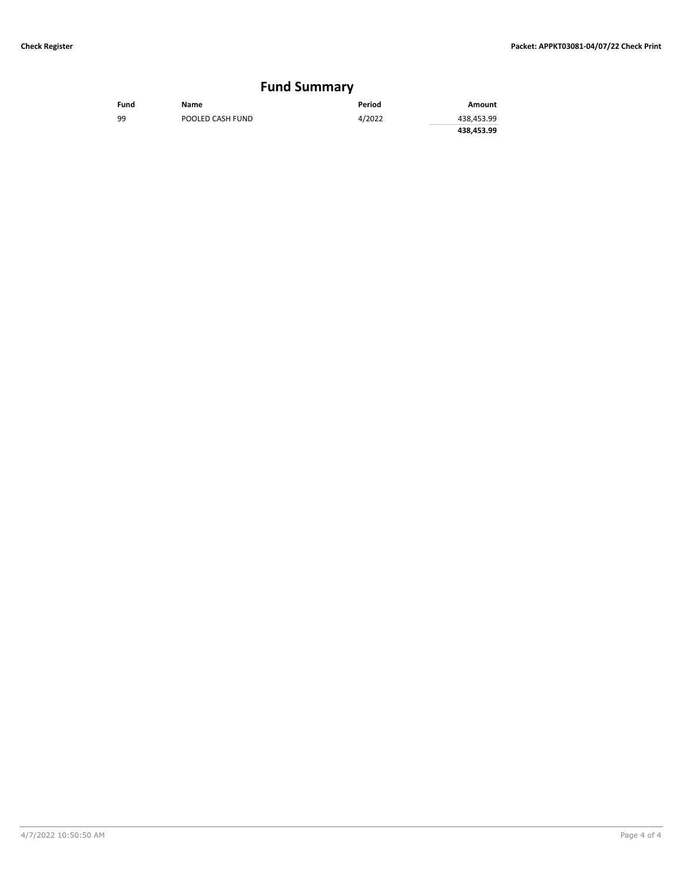# **Fund Summary**

| Fund | Name             | Period | Amount     |
|------|------------------|--------|------------|
| 99   | POOLED CASH FUND | 4/2022 | 438,453.99 |
|      |                  |        | 438,453.99 |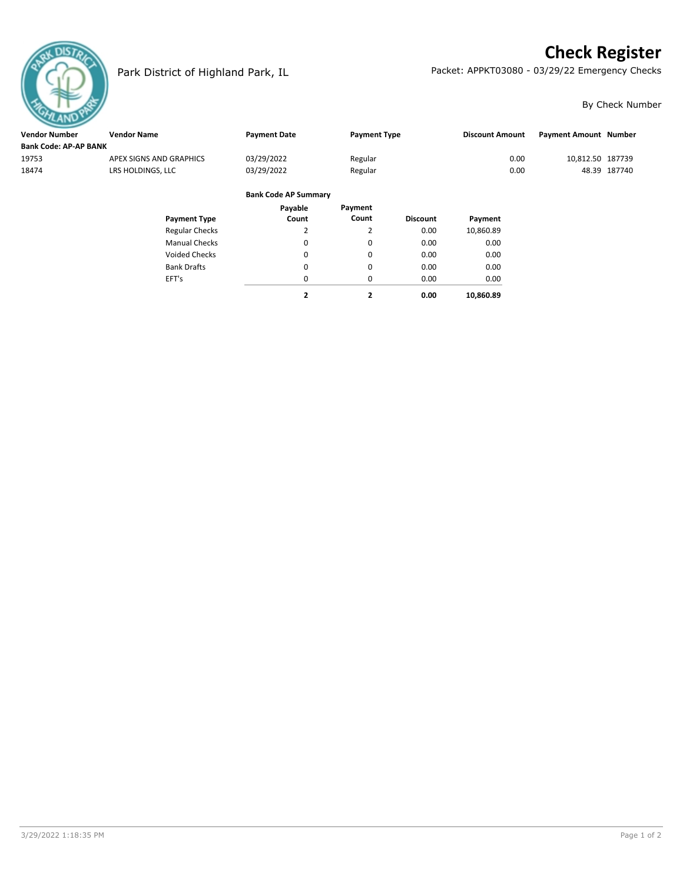# **Check Register**



Park District of Highland Park, IL Packet: APPKT03080 - 03/29/22 Emergency Checks

#### By Check Number

| <b>Vendor Number</b>         | <b>Vendor Name</b>      |                             |                     |                        |                              |              |
|------------------------------|-------------------------|-----------------------------|---------------------|------------------------|------------------------------|--------------|
|                              |                         | <b>Payment Date</b>         | <b>Payment Type</b> | <b>Discount Amount</b> | <b>Payment Amount Number</b> |              |
| <b>Bank Code: AP-AP BANK</b> |                         |                             |                     |                        |                              |              |
| 19753                        | APEX SIGNS AND GRAPHICS | 03/29/2022                  | Regular             | 0.00                   | 10,812.50 187739             |              |
| 18474                        | LRS HOLDINGS, LLC       | 03/29/2022                  | Regular             | 0.00                   |                              | 48.39 187740 |
|                              |                         |                             |                     |                        |                              |              |
|                              |                         | <b>Bank Code AP Summary</b> |                     |                        |                              |              |

#### Regular Checks Manual Checks Voided Checks **Discount Payment** Payment Type **Count Count Count** Bank Drafts EFT's 2 0 0  $\pmb{0}$  $\pmb{0}$ 0.00 0.00 0.00 0.00 0.00 **2 0.00 Payment** 10,860.89 0.00 0.00 0.00 0.00 **10,860.89 Payable Count** 2 0 0 0 0 **2**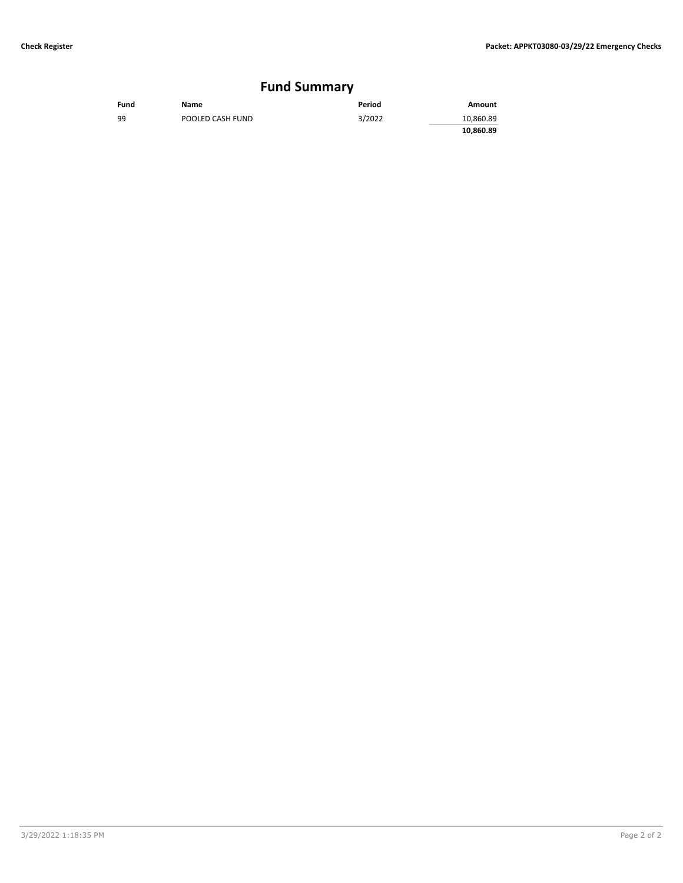# **Fund Summary**

| Fund | Name             | Period | Amount    |
|------|------------------|--------|-----------|
| 99   | POOLED CASH FUND | 3/2022 | 10,860.89 |
|      |                  |        | 10,860.89 |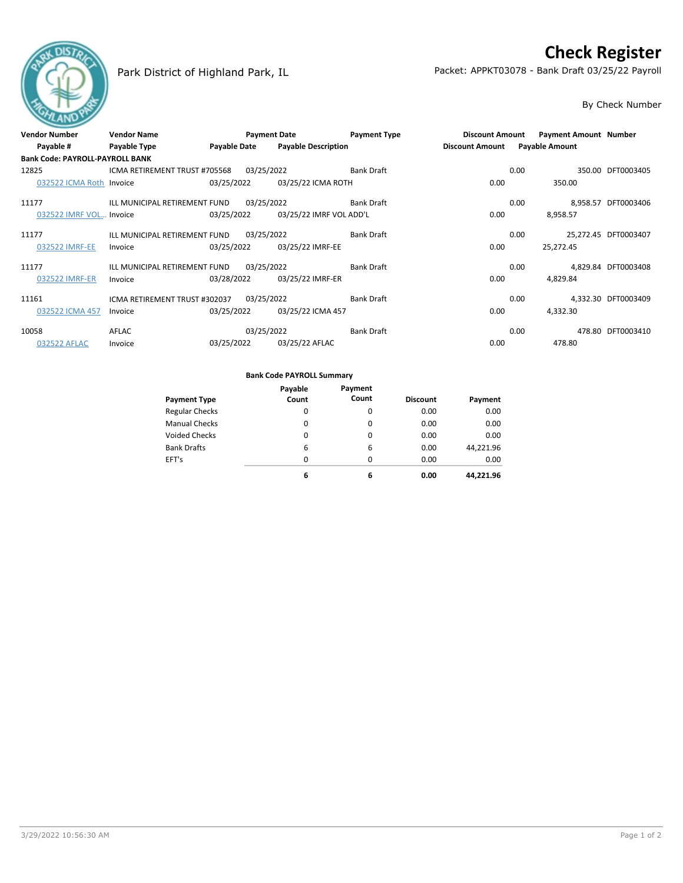# **Check Register**



Park District of Highland Park, IL Packet: APPKT03078 - Bank Draft 03/25/22 Payroll

#### By Check Number

| <b>Vendor Number</b>                   | <b>Vendor Name</b>                       |                     | <b>Payment Date</b>        | <b>Payment Type</b> | <b>Discount Amount</b> | Payment Amount Number |                      |
|----------------------------------------|------------------------------------------|---------------------|----------------------------|---------------------|------------------------|-----------------------|----------------------|
| Payable #                              | Payable Type                             | <b>Payable Date</b> | <b>Payable Description</b> |                     | <b>Discount Amount</b> | <b>Payable Amount</b> |                      |
| <b>Bank Code: PAYROLL-PAYROLL BANK</b> |                                          |                     |                            |                     |                        |                       |                      |
| 12825                                  | ICMA RETIREMENT TRUST #705568 03/25/2022 |                     |                            | <b>Bank Draft</b>   |                        | 0.00                  | 350.00 DFT0003405    |
| 032522 ICMA Roth Invoice               |                                          | 03/25/2022          | 03/25/22 ICMA ROTH         |                     | 0.00                   | 350.00                |                      |
| 11177                                  | ILL MUNICIPAL RETIREMENT FUND            |                     | 03/25/2022                 | Bank Draft          |                        | 0.00                  | 8,958.57 DFT0003406  |
| 032522 IMRF VOL Invoice                |                                          | 03/25/2022          | 03/25/22 IMRF VOL ADD'L    |                     | 0.00                   | 8,958.57              |                      |
| 11177                                  | ILL MUNICIPAL RETIREMENT FUND            |                     | 03/25/2022                 | <b>Bank Draft</b>   |                        | 0.00                  | 25,272.45 DFT0003407 |
| 032522 IMRF-EE                         | Invoice                                  | 03/25/2022          | 03/25/22 IMRF-EE           |                     | 0.00                   | 25,272.45             |                      |
| 11177                                  | ILL MUNICIPAL RETIREMENT FUND            |                     | 03/25/2022                 | <b>Bank Draft</b>   |                        | 0.00                  | 4,829.84 DFT0003408  |
| 032522 IMRF-ER                         | Invoice                                  | 03/28/2022          | 03/25/22 IMRF-ER           |                     | 0.00                   | 4,829.84              |                      |
| 11161                                  | ICMA RETIREMENT TRUST #302037            |                     | 03/25/2022                 | <b>Bank Draft</b>   |                        | 0.00                  | 4.332.30 DFT0003409  |
| 032522 ICMA 457                        | Invoice                                  | 03/25/2022          | 03/25/22 ICMA 457          |                     | 0.00                   | 4,332.30              |                      |
| 10058                                  | AFLAC                                    |                     | 03/25/2022                 | <b>Bank Draft</b>   |                        | 0.00                  | 478.80 DFT0003410    |
| 032522 AFLAC                           | Invoice                                  | 03/25/2022          | 03/25/22 AFLAC             |                     | 0.00                   | 478.80                |                      |

#### **Bank Code PAYROLL Summary**

|                       | Payable | Payment  |                 |           |
|-----------------------|---------|----------|-----------------|-----------|
| <b>Payment Type</b>   | Count   | Count    | <b>Discount</b> | Payment   |
| <b>Regular Checks</b> | 0       | 0        | 0.00            | 0.00      |
| <b>Manual Checks</b>  | 0       | 0        | 0.00            | 0.00      |
| <b>Voided Checks</b>  | 0       | 0        | 0.00            | 0.00      |
| <b>Bank Drafts</b>    | 6       | 6        | 0.00            | 44,221.96 |
| EFT's                 | 0       | $\Omega$ | 0.00            | 0.00      |
|                       | 6       | 6        | 0.00            | 44.221.96 |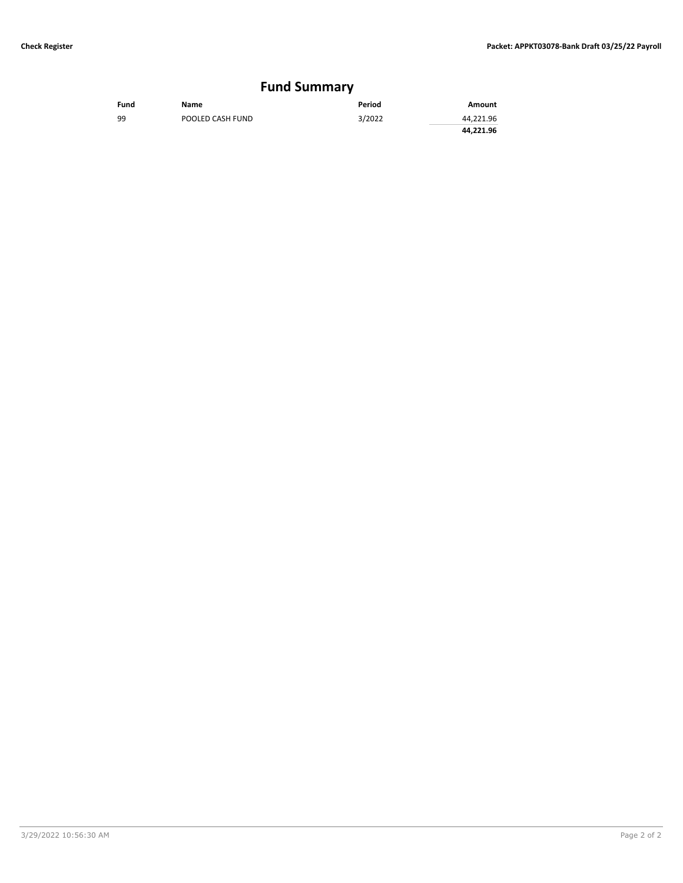# **Fund Summary**

| Fund | Name             | Period | Amount    |
|------|------------------|--------|-----------|
| 99   | POOLED CASH FUND | 3/2022 | 44,221.96 |
|      |                  |        | 44.221.96 |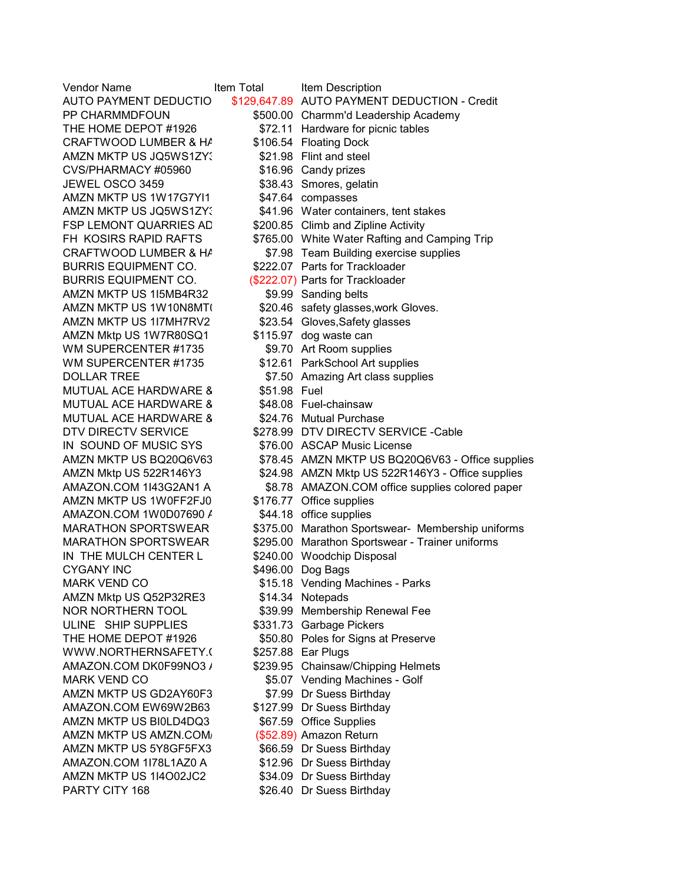| Vendor Name                   | Item Total   | Item Description                                  |
|-------------------------------|--------------|---------------------------------------------------|
| AUTO PAYMENT DEDUCTIO         |              | \$129,647.89 AUTO PAYMENT DEDUCTION - Credit      |
| PP CHARMMDFOUN                |              | \$500.00 Charmm'd Leadership Academy              |
| THE HOME DEPOT #1926          |              | \$72.11 Hardware for picnic tables                |
| CRAFTWOOD LUMBER & HA         |              | \$106.54 Floating Dock                            |
| AMZN MKTP US JQ5WS1ZY.        |              | \$21.98 Flint and steel                           |
| CVS/PHARMACY #05960           |              | \$16.96 Candy prizes                              |
| JEWEL OSCO 3459               |              | \$38.43 Smores, gelatin                           |
| AMZN MKTP US 1W17G7YI1        |              | \$47.64 compasses                                 |
| AMZN MKTP US JQ5WS1ZY.        |              | \$41.96 Water containers, tent stakes             |
| <b>FSP LEMONT QUARRIES AD</b> |              | \$200.85 Climb and Zipline Activity               |
| FH KOSIRS RAPID RAFTS         |              | \$765.00 White Water Rafting and Camping Trip     |
| CRAFTWOOD LUMBER & HA         |              | \$7.98 Team Building exercise supplies            |
| <b>BURRIS EQUIPMENT CO.</b>   |              | \$222.07 Parts for Trackloader                    |
| <b>BURRIS EQUIPMENT CO.</b>   |              | (\$222.07) Parts for Trackloader                  |
| AMZN MKTP US 1I5MB4R32        |              | \$9.99 Sanding belts                              |
| AMZN MKTP US 1W10N8MT(        |              | \$20.46 safety glasses, work Gloves.              |
| AMZN MKTP US 1I7MH7RV2        |              | \$23.54 Gloves, Safety glasses                    |
| AMZN Mktp US 1W7R80SQ1        |              | \$115.97 dog waste can                            |
| WM SUPERCENTER #1735          |              | \$9.70 Art Room supplies                          |
| WM SUPERCENTER #1735          |              | \$12.61 ParkSchool Art supplies                   |
|                               |              |                                                   |
| <b>DOLLAR TREE</b>            | \$51.98 Fuel | \$7.50 Amazing Art class supplies                 |
| <b>MUTUAL ACE HARDWARE 8</b>  |              |                                                   |
| <b>MUTUAL ACE HARDWARE 8</b>  |              | \$48.08 Fuel-chainsaw                             |
| MUTUAL ACE HARDWARE 8         |              | \$24.76 Mutual Purchase                           |
| DTV DIRECTV SERVICE           |              | \$278.99 DTV DIRECTV SERVICE - Cable              |
| IN SOUND OF MUSIC SYS         |              | \$76.00 ASCAP Music License                       |
| AMZN MKTP US BQ20Q6V63        |              | \$78.45 AMZN MKTP US BQ20Q6V63 - Office supplies  |
| AMZN Mktp US 522R146Y3        |              | \$24.98 AMZN Mktp US 522R146Y3 - Office supplies  |
| AMAZON.COM 1I43G2AN1 A        |              | \$8.78 AMAZON.COM office supplies colored paper   |
| AMZN MKTP US 1W0FF2FJ0        |              | \$176.77 Office supplies                          |
| AMAZON.COM 1W0D07690 /        |              | \$44.18 office supplies                           |
| <b>MARATHON SPORTSWEAR</b>    |              | \$375.00 Marathon Sportswear- Membership uniforms |
| <b>MARATHON SPORTSWEAR</b>    |              | \$295.00 Marathon Sportswear - Trainer uniforms   |
| IN THE MULCH CENTER L         |              | \$240.00 Woodchip Disposal                        |
| <b>CYGANY INC</b>             |              | \$496.00 Dog Bags                                 |
| <b>MARK VEND CO</b>           |              | \$15.18 Vending Machines - Parks                  |
| AMZN Mktp US Q52P32RE3        |              | \$14.34 Notepads                                  |
| <b>NOR NORTHERN TOOL</b>      |              | \$39.99 Membership Renewal Fee                    |
| ULINE SHIP SUPPLIES           |              | \$331.73 Garbage Pickers                          |
| THE HOME DEPOT #1926          |              | \$50.80 Poles for Signs at Preserve               |
| WWW.NORTHERNSAFETY.(          |              | \$257.88 Ear Plugs                                |
| AMAZON.COM DK0F99NO3 /        |              | \$239.95 Chainsaw/Chipping Helmets                |
| <b>MARK VEND CO</b>           |              | \$5.07 Vending Machines - Golf                    |
| AMZN MKTP US GD2AY60F3        |              | \$7.99 Dr Suess Birthday                          |
| AMAZON.COM EW69W2B63          |              | \$127.99 Dr Suess Birthday                        |
| AMZN MKTP US BI0LD4DQ3        |              | \$67.59 Office Supplies                           |
| AMZN MKTP US AMZN.COM/        |              | (\$52.89) Amazon Return                           |
| AMZN MKTP US 5Y8GF5FX3        |              | \$66.59 Dr Suess Birthday                         |
| AMAZON.COM 1I78L1AZ0 A        |              | \$12.96 Dr Suess Birthday                         |
| AMZN MKTP US 1I4O02JC2        |              | \$34.09 Dr Suess Birthday                         |
| PARTY CITY 168                |              | \$26.40 Dr Suess Birthday                         |
|                               |              |                                                   |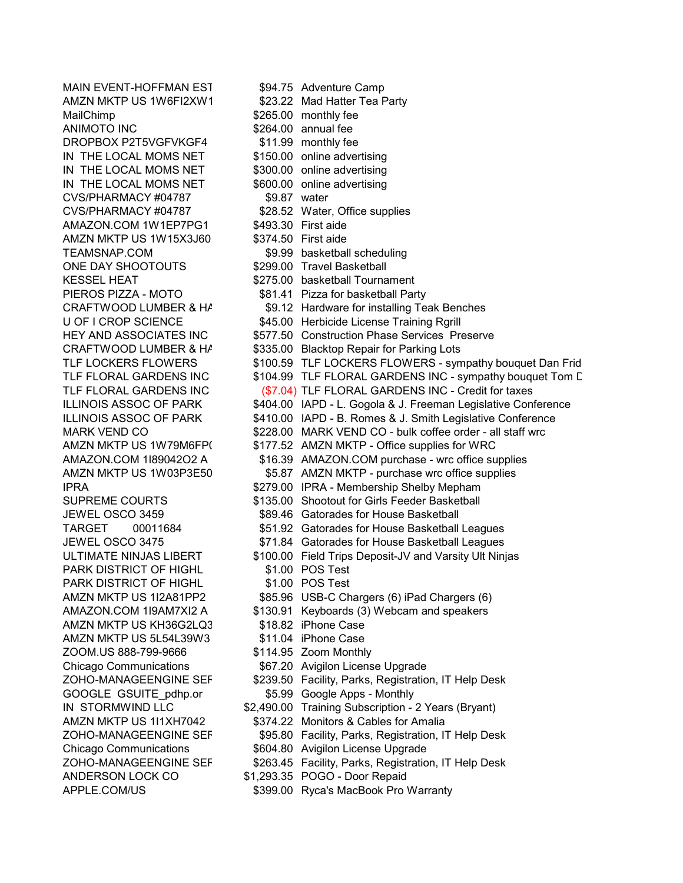AMZN MKTP US 1W6FI2XW1 \$23.22 Mad Hatter Tea Party MailChimp  $$265.00$  monthly fee ANIMOTO INC \$264.00 annual fee<br>DROPBOX P2T5VGFVKGF4 \$11.99 monthly fee DROPBOX P2T5VGFVKGF4 IN THE LOCAL MOMS NET \$150.00 online advertising IN THE LOCAL MOMS NET \$300.00 online advertising IN THE LOCAL MOMS NET \$600.00 online advertising<br>CVS/PHARMACY #04787 \$9.87 water CVS/PHARMACY #04787 CVS/PHARMACY #04787 \$28.52 Water, Office supplies<br>AMAZON.COM 1W1EP7PG1 \$493.30 First aide AMAZON.COM 1W1EP7PG1 AMZN MKTP US 1W15X3J60 \$374.50 First aide TEAMSNAP.COM \$9.99 basketball scheduling ONE DAY SHOOTOUTS \$299.00 Travel Basketball PARK DISTRICT OF HIGHL \$1.00 POS Test PARK DISTRICT OF HIGHL \$1.00 POS Test AMZN MKTP US KH36G2LQ3 \$18.82 iPhone Case AMZN MKTP US 5L54L39W3 \$11.04 iPhone Case ZOOM.US 888-799-9666 \$114.95 Zoom Monthly GOOGLE GSUITE pdhp.or \$5.99 Google Apps - Monthly ANDERSON LOCK CO \$1,293.35 POGO - Door Repaid APPLE.COM/US \$399.00 Ryca's MacBook Pro Warranty

MAIN EVENT-HOFFMAN EST \$94.75 Adventure Camp KESSEL HEAT \$275.00 basketball Tournament PIEROS PIZZA - MOTO \$81.41 Pizza for basketball Party CRAFTWOOD LUMBER & HA \$9.12 Hardware for installing Teak Benches U OF I CROP SCIENCE **\$45.00** Herbicide License Training Rgrill HEY AND ASSOCIATES INC \$577.50 Construction Phase Services Preserve CRAFTWOOD LUMBER & HA \$335.00 Blacktop Repair for Parking Lots TLF LOCKERS FLOWERS \$100.59 TLF LOCKERS FLOWERS - sympathy bouquet Dan Frid TLF FLORAL GARDENS INC \$104.99 TLF FLORAL GARDENS INC - sympathy bouquet Tom L TLF FLORAL GARDENS INC (\$7.04) TLF FLORAL GARDENS INC - Credit for taxes ILLINOIS ASSOC OF PARK \$404.00 IAPD - L. Gogola & J. Freeman Legislative Conference ILLINOIS ASSOC OF PARK \$410.00 IAPD - B. Romes & J. Smith Legislative Conference MARK VEND CO  $$228.00$  MARK VEND CO - bulk coffee order - all staff wrc AMZN MKTP US 1W79M6FP( \$177.52 AMZN MKTP - Office supplies for WRC AMAZON.COM 1I89042O2 A \$16.39 AMAZON.COM purchase - wrc office supplies AMZN MKTP US 1W03P3E50  $$5.87$  AMZN MKTP - purchase wrc office supplies<br>IPRA - Membership Shelby Mepham \$279.00 IPRA - Membership Shelby Mepham SUPREME COURTS \$135.00 Shootout for Girls Feeder Basketball JEWEL OSCO 3459 \$89.46 Gatorades for House Basketball TARGET 00011684 \$51.92 Gatorades for House Basketball Leagues JEWEL OSCO 3475 \$71.84 Gatorades for House Basketball Leagues ULTIMATE NINJAS LIBERT \$100.00 Field Trips Deposit-JV and Varsity Ult Ninjas AMZN MKTP US 1I2A81PP2 \$85.96 USB-C Chargers (6) iPad Chargers (6) AMAZON.COM 1I9AM7XI2 A \$130.91 Keyboards (3) Webcam and speakers Chicago Communications  $$67.20$  Avigilon License Upgrade ZOHO-MANAGEENGINE SER \$239.50 Facility, Parks, Registration, IT Help Desk IN STORMWIND LLC \$2,490.00 Training Subscription - 2 Years (Bryant) AMZN MKTP US 1I1XH7042 \$374.22 Monitors & Cables for Amalia ZOHO-MANAGEENGINE SEF \$95.80 Facility, Parks, Registration, IT Help Desk Chicago Communications \$604.80 Avigilon License Upgrade ZOHO-MANAGEENGINE SEF \$263.45 Facility, Parks, Registration, IT Help Desk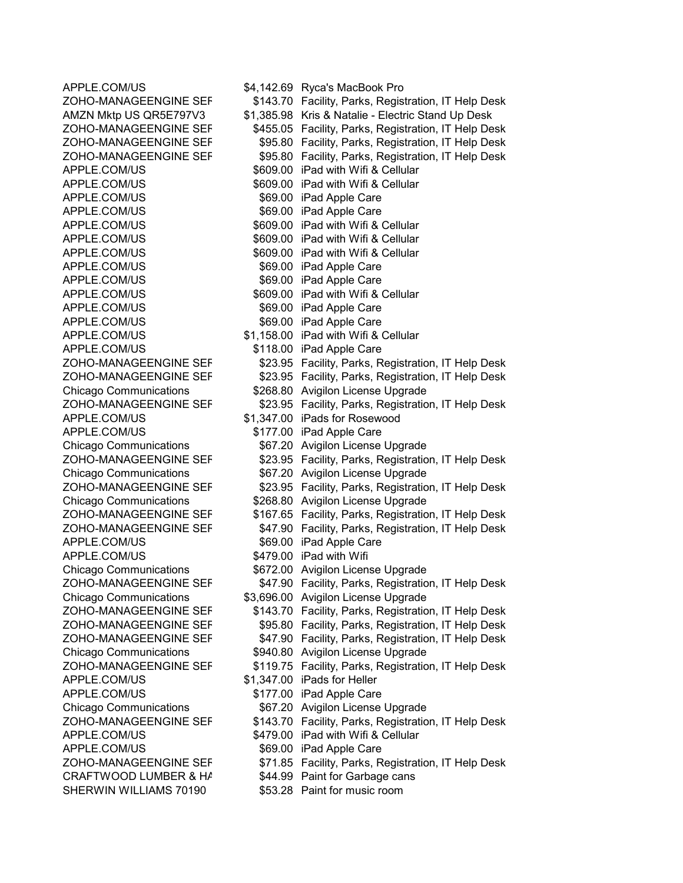APPLE.COM/US \$69.00 iPad Apple Care APPLE.COM/US \$69.00 iPad Apple Care APPLE.COM/US \$69.00 iPad Apple Care APPLE.COM/US \$69.00 iPad Apple Care APPLE.COM/US \$69.00 iPad Apple Care APPLE.COM/US \$118.00 iPad Apple Care APPLE.COM/US \$1,347.00 iPads for Rosewood APPLE.COM/US \$177.00 iPad Apple Care APPLE.COM/US \$69.00 iPad Apple Care APPLE.COM/US \$479.00 iPad with Wifi APPLE.COM/US \$1,347.00 iPads for Heller APPLE.COM/US \$177.00 iPad Apple Care APPLE.COM/US \$69.00 iPad Apple Care SHERWIN WILLIAMS 70190 \$53.28 Paint for music room

APPLE.COM/US \$4,142.69 Ryca's MacBook Pro ZOHO-MANAGEENGINE SER \$143.70 Facility, Parks, Registration, IT Help Desk AMZN Mktp US QR5E797V3 \$1,385.98 Kris & Natalie - Electric Stand Up Desk ZOHO-MANAGEENGINE SEF \$455.05 Facility, Parks, Registration, IT Help Desk<br>ZOHO-MANAGEENGINE SEF \$95.80 Facility, Parks, Registration, IT Help Desk \$95.80 Facility, Parks, Registration, IT Help Desk ZOHO-MANAGEENGINE SER \$95.80 Facility, Parks, Registration, IT Help Desk APPLE.COM/US \$609.00 iPad with Wifi & Cellular APPLE.COM/US \$609.00 iPad with Wifi & Cellular<br>APPLE.COM/US \$69.00 iPad Apple Care \$69.00 iPad Apple Care APPLE.COM/US \$609.00 iPad with Wifi & Cellular APPLE.COM/US \$609.00 iPad with Wifi & Cellular APPLE.COM/US \$609.00 iPad with Wifi & Cellular APPLE.COM/US \$609.00 iPad with Wifi & Cellular APPLE.COM/US \$1,158.00 iPad with Wifi & Cellular ZOHO-MANAGEENGINE SEF \$23.95 Facility, Parks, Registration, IT Help Desk ZOHO-MANAGEENGINE SER \$23.95 Facility, Parks, Registration, IT Help Desk Chicago Communications \$268.80 Avigilon License Upgrade ZOHO-MANAGEENGINE SER \$23.95 Facility, Parks, Registration, IT Help Desk Chicago Communications \$67.20 Avigilon License Upgrade ZOHO-MANAGEENGINE SER \$23.95 Facility, Parks, Registration, IT Help Desk Chicago Communications \$67.20 Avigilon License Upgrade ZOHO-MANAGEENGINE SER \$23.95 Facility, Parks, Registration, IT Help Desk Chicago Communications  $$268.80$  Avigilon License Upgrade ZOHO-MANAGEENGINE SER \$167.65 Facility, Parks, Registration, IT Help Desk ZOHO-MANAGEENGINE SER \$47.90 Facility, Parks, Registration, IT Help Desk Chicago Communications \$672.00 Avigilon License Upgrade ZOHO-MANAGEENGINE SEF \$47.90 Facility, Parks, Registration, IT Help Desk Chicago Communications \$3,696.00 Avigilon License Upgrade ZOHO-MANAGEENGINE SER \$143.70 Facility, Parks, Registration, IT Help Desk ZOHO-MANAGEENGINE SER \$95.80 Facility, Parks, Registration, IT Help Desk ZOHO-MANAGEENGINE SER \$47.90 Facility, Parks, Registration, IT Help Desk Chicago Communications \$940.80 Avigilon License Upgrade ZOHO-MANAGEENGINE SER \$119.75 Facility, Parks, Registration, IT Help Desk Chicago Communications \$67.20 Avigilon License Upgrade ZOHO-MANAGEENGINE SEF \$143.70 Facility, Parks, Registration, IT Help Desk APPLE.COM/US \$479.00 iPad with Wifi & Cellular ZOHO-MANAGEENGINE SEF \$71.85 Facility, Parks, Registration, IT Help Desk CRAFTWOOD LUMBER & HA \$44.99 Paint for Garbage cans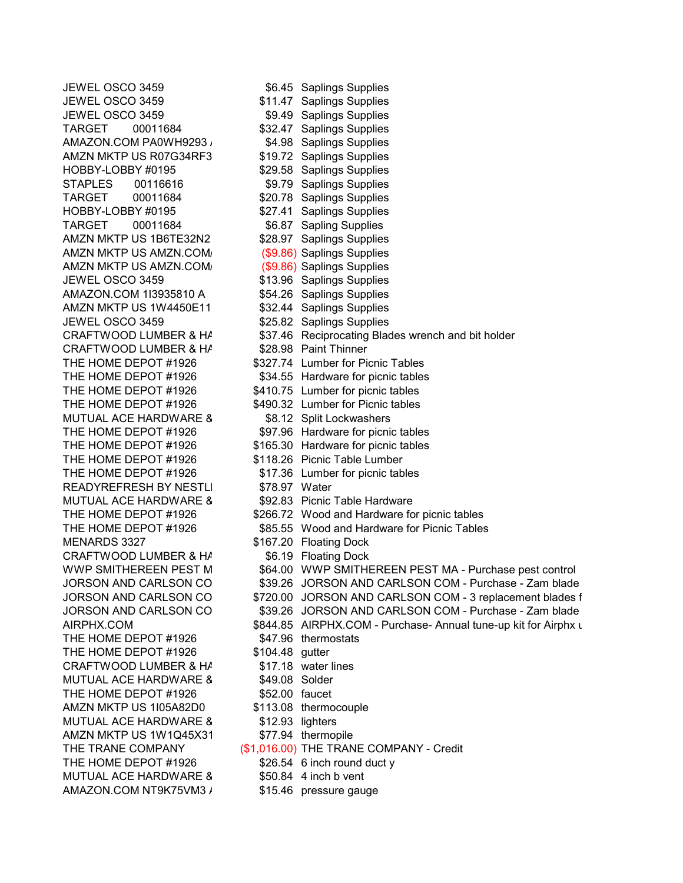JEWEL OSCO 3459 \$11.47 Saplings Supplies JEWEL OSCO 3459 **\$9.49** Saplings Supplies TARGET 00011684 \$32.47 Saplings Supplies<br>AMAZON.COM PA0WH9293 AMZN MKTP US R07G34RF3  $\begin{array}{r} 19.72 \\ \text{30.72} \end{array}$  Saplings Supplies<br>HOBBY-LOBBY #0195  $\begin{array}{r} 19.72 \\ \text{30.58} \end{array}$  Saplings Supplies STAPLES 00116616 \$9.79 Saplings Supplies<br>TARGET 00011684 \$20.78 Saplings Supplies HOBBY-LOBBY #0195  $$27.41$  Saplings Supplies<br>TARGET 00011684 \$6.87 Sapling Supplies AMZN MKTP US 1B6TE32N2 \$28.97 Saplings Supplies AMZN MKTP US AMZN.COM (\$9.86) Saplings Supplies AMZN MKTP US AMZN.COM/ (\$9.86) Saplings Supplies JEWEL OSCO 3459 \$13.96 Saplings Supplies AMAZON.COM 1I3935810 A \$54.26 Saplings Supplies AMZN MKTP US 1W4450E11 \$32.44 Saplings Supplies JEWEL OSCO 3459 \$25.82 Saplings Supplies CRAFTWOOD LUMBER & HA \$28.98 Paint Thinner MUTUAL ACE HARDWARE & \$8.12 Split Lockwashers THE HOME DEPOT #1926 \$118.26 Picnic Table Lumber READYREFRESH BY NESTLI MUTUAL ACE HARDWARE 8 \$92.83 Picnic Table Hardware MENARDS 3327 \$167.20 Floating Dock CRAFTWOOD LUMBER & HA \$6.19 Floating Dock THE HOME DEPOT #1926 \$47.96 thermostats THE HOME DEPOT #1926 \$104.48 gutter CRAFTWOOD LUMBER & HA \$17.18 water lines MUTUAL ACE HARDWARE 8 \$49.08 Solder THE HOME DEPOT #1926 \$52.00 faucet AMZN MKTP US 1105A82D0 \$113.08 thermocouple MUTUAL ACE HARDWARE & \$12.93 lighters AMZN MKTP US 1W1Q45X31 \$77.94 thermopile THE HOME DEPOT #1926 \$26.54 6 inch round duct y MUTUAL ACE HARDWARE 8 \$50.84 4 inch b vent AMAZON.COM NT9K75VM3 / \$15.46 pressure gauge

JEWEL OSCO 3459 \$6.45 Saplings Supplies \$4.98 Saplings Supplies \$29.58 Saplings Supplies \$20.78 Saplings Supplies TARGET 00011684 \$6.87 Sapling Supplies CRAFTWOOD LUMBER & HA \$37.46 Reciprocating Blades wrench and bit holder THE HOME DEPOT #1926 \$327.74 Lumber for Picnic Tables THE HOME DEPOT #1926 \$34.55 Hardware for picnic tables THE HOME DEPOT #1926 \$410.75 Lumber for picnic tables THE HOME DEPOT #1926 \$490.32 Lumber for Picnic tables THE HOME DEPOT #1926 \$97.96 Hardware for picnic tables THE HOME DEPOT #1926 \$165.30 Hardware for picnic tables THE HOME DEPOT #1926 \$17.36 Lumber for picnic tables<br>READYREFRESH BY NESTLI \$78.97 Water THE HOME DEPOT #1926 \$266.72 Wood and Hardware for picnic tables THE HOME DEPOT #1926 \$85.55 Wood and Hardware for Picnic Tables WWP SMITHEREEN PEST M  $$64.00$  WWP SMITHEREEN PEST MA - Purchase pest control JORSON AND CARLSON CO \$39.26 JORSON AND CARLSON COM - Purchase - Zam blade JORSON AND CARLSON CO \$720.00 JORSON AND CARLSON COM - 3 replacement blades f<br>JORSON AND CARLSON CO \$39.26 JORSON AND CARLSON COM - Purchase - Zam blade \$39.26 JORSON AND CARLSON COM - Purchase - Zam blade AIRPHX.COM  $$844.85$  AIRPHX.COM - Purchase- Annual tune-up kit for Airphx u THE TRANE COMPANY (\$1,016.00) THE TRANE COMPANY - Credit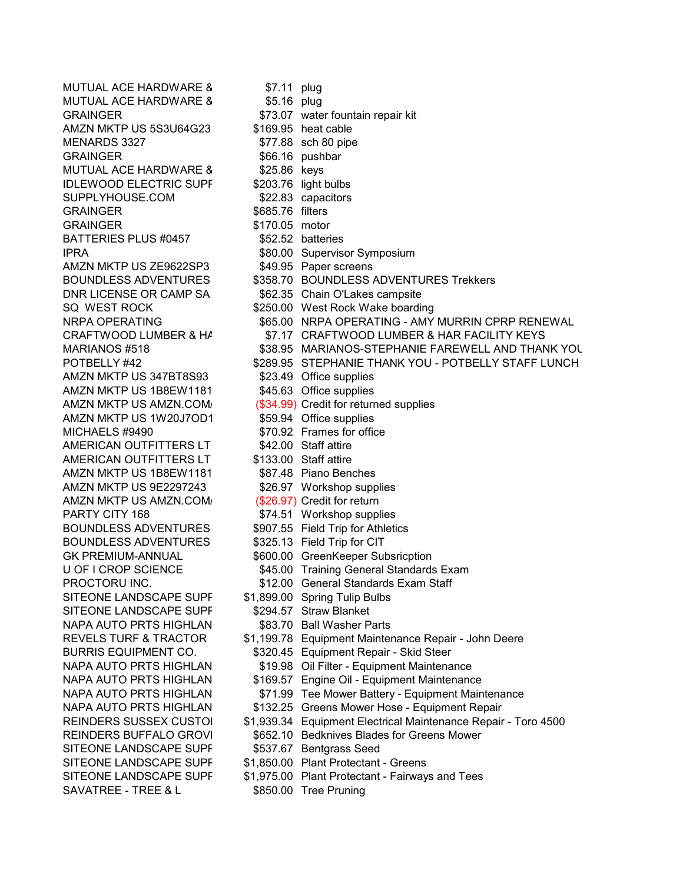MUTUAL ACE HARDWARE 8 \$7.11 plug MUTUAL ACE HARDWARE 8 \$5.16 plug AMZN MKTP US 5S3U64G23<br>MENARDS 3327 GRAINGER \$66.16 pushbar<br>MUTUAL ACE HARDWARE 8 \$25.86 keys MUTUAL ACE HARDWARE 8 IDLEWOOD ELECTRIC SUPF \$203.76 light bulbs<br>SUPPLYHOUSE.COM \$22.83 capacitors SUPPLYHOUSE.COM GRAINGER \$685.76 filters BATTERIES PLUS #0457 \$52.52 batteries IPRA **\$80.00 Supervisor Symposium** AMZN MKTP US ZE9622SP3 \$49.95 Paper screens AMZN MKTP US 347BT8S93 \$23.49 Office supplies AMZN MKTP US 1B8EW1181 \$45.63 Office supplies AMZN MKTP US 1W20J7OD1 \$59.94 Office supplies MICHAELS #9490 \$70.92 Frames for office AMERICAN OUTFITTERS LT \$42.00 Staff attire<br>AMERICAN OUTFITTERS LT \$133.00 Staff attire AMERICAN OUTFITTERS LT AMZN MKTP US 1B8EW1181 \$87.48 Piano Benches<br>AMZN MKTP US 9E2297243 \$26.97 Workshop supp AMZN MKTP US AMZN.COM (\$26.97) Credit for return PARTY CITY 168  $$74.51$  Workshop supplies BOUNDLESS ADVENTURES \$907.55 Field Trip for Athletics BOUNDLESS ADVENTURES \$325.13 Field Trip for CIT SITEONE LANDSCAPE SUPF \$1,899.00 Spring Tulip Bulbs<br>SITEONE LANDSCAPE SUPF \$294.57 Straw Blanket SITEONE LANDSCAPE SUPF NAPA AUTO PRTS HIGHLAN \$83.70 Ball Washer Parts SITEONE LANDSCAPE SUPF \$537.67 Bentgrass Seed SAVATREE - TREE & L \$850.00 Tree Pruning

GRAINGER \$73.07 water fountain repair kit<br>AMZN MKTP US 5S3U64G23 \$169.95 heat cable \$77.88 sch 80 pipe \$170.05 motor BOUNDLESS ADVENTURES \$358.70 BOUNDLESS ADVENTURES Trekkers DNR LICENSE OR CAMP SA \$62.35 Chain O'Lakes campsite SQ WEST ROCK \$250.00 West Rock Wake boarding NRPA OPERATING \$65.00 NRPA OPERATING - AMY MURRIN CPRP RENEWAL CRAFTWOOD LUMBER & HA \$7.17 CRAFTWOOD LUMBER & HAR FACILITY KEYS MARIANOS #518  $\mu$  \$38.95 MARIANOS-STEPHANIE FAREWELL AND THANK YOU POTBELLY #42  $$289.95$  STEPHANIE THANK YOU - POTBELLY STAFF LUNCH AMZN MKTP US AMZN.COM/ (\$34.99) Credit for returned supplies \$26.97 Workshop supplies GK PREMIUM-ANNUAL **\$600.00** GreenKeeper Subsricption U OF I CROP SCIENCE \$45.00 Training General Standards Exam PROCTORU INC. \$12.00 General Standards Exam Staff REVELS TURF & TRACTOR \$1,199.78 Equipment Maintenance Repair - John Deere BURRIS EQUIPMENT CO. \$320.45 Equipment Repair - Skid Steer NAPA AUTO PRTS HIGHLAN \$19.98 Oil Filter - Equipment Maintenance NAPA AUTO PRTS HIGHLAN \$169.57 Engine Oil - Equipment Maintenance NAPA AUTO PRTS HIGHLAN \$71.99 Tee Mower Battery - Equipment Maintenance NAPA AUTO PRTS HIGHLAN \$132.25 Greens Mower Hose - Equipment Repair REINDERS SUSSEX CUSTO \$1,939.34 Equipment Electrical Maintenance Repair - Toro 4500 REINDERS BUFFALO GROVE \$652.10 Bedknives Blades for Greens Mower SITEONE LANDSCAPE SUPF \$1,850.00 Plant Protectant - Greens SITEONE LANDSCAPE SUPP \$1,975.00 Plant Protectant - Fairways and Tees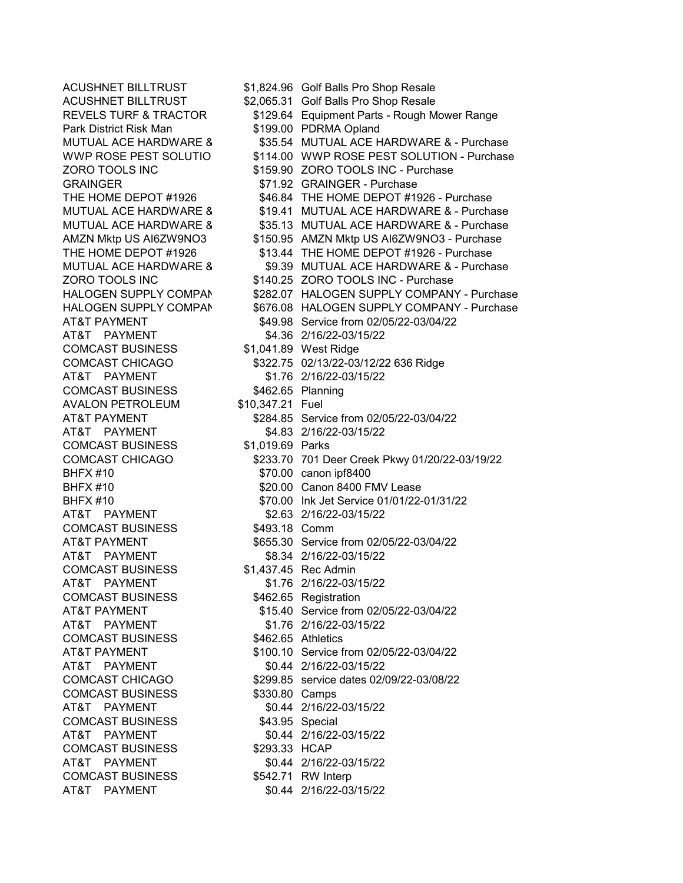Park District Risk Man \$199.00 PDRMA Opland<br>MUTUAL ACE HARDWARE 8 \$35.54 MUTUAL ACE H AT&T PAYMENT \$4.36 2/16/22-03/15/22 COMCAST BUSINESS \$1,041.89 West Ridge AT&T PAYMENT \$1.76 2/16/22-03/15/22 COMCAST BUSINESS \$462.65 Planning AVALON PETROLEUM \$10,347.21 Fuel AT&T PAYMENT \$4.83 2/16/22-03/15/22 COMCAST BUSINESS \$1,019.69 Parks BHFX #10 \$70.00 canon ipf8400 AT&T PAYMENT \$2.63 2/16/22-03/15/22 COMCAST BUSINESS \$493.18 Comm AT&T PAYMENT \$8.34 2/16/22-03/15/22 COMCAST BUSINESS \$1,437.45 Rec Admin AT&T PAYMENT \$1.76 2/16/22-03/15/22 COMCAST BUSINESS \$462.65 Registration AT&T PAYMENT \$1.76 2/16/22-03/15/22 COMCAST BUSINESS \$462.65 Athletics AT&T PAYMENT \$0.44 2/16/22-03/15/22 COMCAST BUSINESS \$330.80 Camps AT&T PAYMENT \$0.44 2/16/22-03/15/22 COMCAST BUSINESS \$43.95 Special AT&T PAYMENT \$0.44 2/16/22-03/15/22 COMCAST BUSINESS \$293.33 HCAP AT&T PAYMENT \$0.44 2/16/22-03/15/22 COMCAST BUSINESS \$542.71 RW Interp AT&T PAYMENT \$0.44 2/16/22-03/15/22

ACUSHNET BILLTRUST \$1,824.96 Golf Balls Pro Shop Resale ACUSHNET BILLTRUST \$2,065.31 Golf Balls Pro Shop Resale REVELS TURF & TRACTOR \$129.64 Equipment Parts - Rough Mower Range \$35.54 MUTUAL ACE HARDWARE & - Purchase WWP ROSE PEST SOLUTIO \$114.00 WWP ROSE PEST SOLUTION - Purchase ZORO TOOLS INC \$159.90 ZORO TOOLS INC - Purchase GRAINGER \$71.92 GRAINGER - Purchase<br>THE HOME DEPOT #1926 \$46.84 THE HOME DEPOT #19 \$46.84 THE HOME DEPOT #1926 - Purchase MUTUAL ACE HARDWARE 8 \$19.41 MUTUAL ACE HARDWARE & - Purchase<br>MUTUAL ACE HARDWARE 8 \$35.13 MUTUAL ACE HARDWARE & - Purchase \$35.13 MUTUAL ACE HARDWARE & - Purchase AMZN Mktp US AI6ZW9NO3 \$150.95 AMZN Mktp US AI6ZW9NO3 - Purchase THE HOME DEPOT #1926 \$13.44 THE HOME DEPOT #1926 - Purchase MUTUAL ACE HARDWARE & \$9.39 MUTUAL ACE HARDWARE & - Purchase ZORO TOOLS INC \$140.25 ZORO TOOLS INC - Purchase HALOGEN SUPPLY COMPAN \$282.07 HALOGEN SUPPLY COMPANY - Purchase HALOGEN SUPPLY COMPAN \$676.08 HALOGEN SUPPLY COMPANY - Purchase AT&T PAYMENT \$49.98 Service from 02/05/22-03/04/22 COMCAST CHICAGO \$322.75 02/13/22-03/12/22 636 Ridge AT&T PAYMENT \$284.85 Service from 02/05/22-03/04/22 COMCAST CHICAGO \$233.70 701 Deer Creek Pkwy 01/20/22-03/19/22 \$20.00 Canon 8400 FMV Lease BHFX #10 \$70.00 Ink Jet Service 01/01/22-01/31/22 AT&T PAYMENT \$655.30 Service from 02/05/22-03/04/22 AT&T PAYMENT \$15.40 Service from 02/05/22-03/04/22 AT&T PAYMENT \$100.10 Service from 02/05/22-03/04/22 COMCAST CHICAGO \$299.85 service dates 02/09/22-03/08/22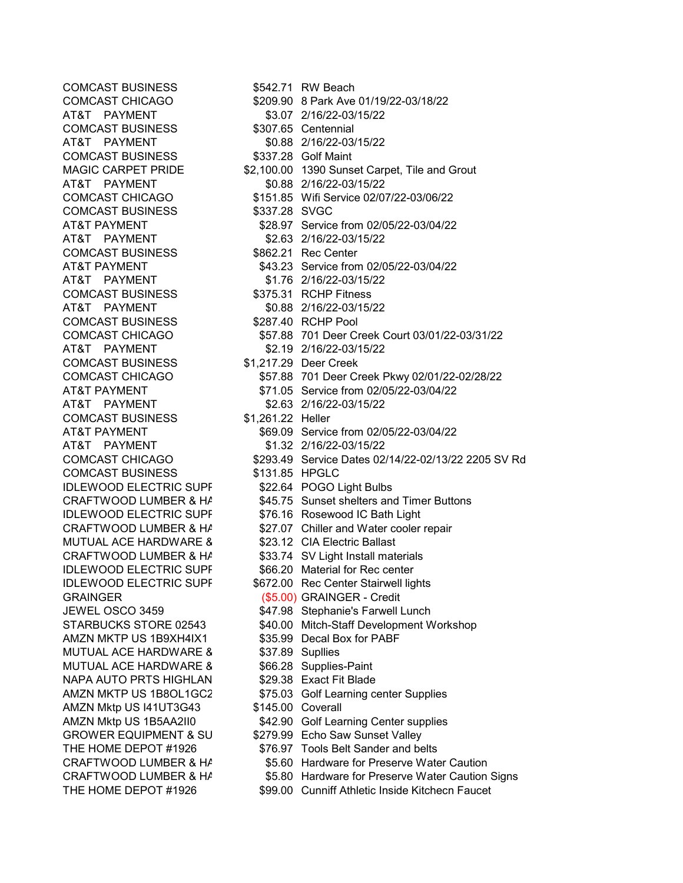| <b>COMCAST BUSINESS</b>          |                   | \$542.71 RW Beach                                   |
|----------------------------------|-------------------|-----------------------------------------------------|
| <b>COMCAST CHICAGO</b>           |                   | \$209.90 8 Park Ave 01/19/22-03/18/22               |
| AT&T PAYMENT                     |                   | \$3.07 2/16/22-03/15/22                             |
| <b>COMCAST BUSINESS</b>          |                   | \$307.65 Centennial                                 |
| AT&T PAYMENT                     |                   | \$0.88 2/16/22-03/15/22                             |
| <b>COMCAST BUSINESS</b>          |                   | \$337.28 Golf Maint                                 |
| <b>MAGIC CARPET PRIDE</b>        |                   | \$2,100.00 1390 Sunset Carpet, Tile and Grout       |
| AT&T PAYMENT                     |                   | \$0.88 2/16/22-03/15/22                             |
| <b>COMCAST CHICAGO</b>           |                   | \$151.85 Wifi Service 02/07/22-03/06/22             |
| <b>COMCAST BUSINESS</b>          | \$337.28 SVGC     |                                                     |
| <b>AT&amp;T PAYMENT</b>          |                   | \$28.97 Service from 02/05/22-03/04/22              |
| AT&T PAYMENT                     |                   | \$2.63 2/16/22-03/15/22                             |
| <b>COMCAST BUSINESS</b>          |                   | \$862.21 Rec Center                                 |
| <b>AT&amp;T PAYMENT</b>          |                   | \$43.23 Service from 02/05/22-03/04/22              |
| AT&T PAYMENT                     |                   | \$1.76 2/16/22-03/15/22                             |
| <b>COMCAST BUSINESS</b>          |                   | \$375.31 RCHP Fitness                               |
| AT&T PAYMENT                     |                   | \$0.88 2/16/22-03/15/22                             |
| <b>COMCAST BUSINESS</b>          |                   | \$287.40 RCHP Pool                                  |
| <b>COMCAST CHICAGO</b>           |                   | \$57.88 701 Deer Creek Court 03/01/22-03/31/22      |
| AT&T PAYMENT                     |                   | \$2.19 2/16/22-03/15/22                             |
| <b>COMCAST BUSINESS</b>          |                   | \$1,217.29 Deer Creek                               |
| <b>COMCAST CHICAGO</b>           |                   | \$57.88 701 Deer Creek Pkwy 02/01/22-02/28/22       |
| <b>AT&amp;T PAYMENT</b>          |                   | \$71.05 Service from 02/05/22-03/04/22              |
| AT&T PAYMENT                     |                   | \$2.63 2/16/22-03/15/22                             |
| <b>COMCAST BUSINESS</b>          | \$1,261.22 Heller |                                                     |
| <b>AT&amp;T PAYMENT</b>          |                   | \$69.09 Service from 02/05/22-03/04/22              |
| AT&T PAYMENT                     |                   | \$1.32 2/16/22-03/15/22                             |
| <b>COMCAST CHICAGO</b>           |                   | \$293.49 Service Dates 02/14/22-02/13/22 2205 SV Rd |
| <b>COMCAST BUSINESS</b>          | \$131.85 HPGLC    |                                                     |
| <b>IDLEWOOD ELECTRIC SUPF</b>    |                   | \$22.64 POGO Light Bulbs                            |
| CRAFTWOOD LUMBER & HA            |                   | \$45.75 Sunset shelters and Timer Buttons           |
| <b>IDLEWOOD ELECTRIC SUPF</b>    |                   | \$76.16 Rosewood IC Bath Light                      |
| CRAFTWOOD LUMBER & HA            |                   | \$27.07 Chiller and Water cooler repair             |
| <b>MUTUAL ACE HARDWARE 8</b>     |                   | \$23.12 CIA Electric Ballast                        |
| CRAFTWOOD LUMBER & HA            |                   | \$33.74 SV Light Install materials                  |
| <b>IDLEWOOD ELECTRIC SUPF</b>    |                   | \$66.20 Material for Rec center                     |
| <b>IDLEWOOD ELECTRIC SUPF</b>    |                   | \$672.00 Rec Center Stairwell lights                |
| <b>GRAINGER</b>                  |                   | (\$5.00) GRAINGER - Credit                          |
| JEWEL OSCO 3459                  |                   | \$47.98 Stephanie's Farwell Lunch                   |
| STARBUCKS STORE 02543            |                   | \$40.00 Mitch-Staff Development Workshop            |
| AMZN MKTP US 1B9XH4IX1           |                   | \$35.99 Decal Box for PABF                          |
| <b>MUTUAL ACE HARDWARE 8</b>     |                   | \$37.89 Supllies                                    |
| MUTUAL ACE HARDWARE 8            |                   | \$66.28 Supplies-Paint                              |
| NAPA AUTO PRTS HIGHLAN           |                   | \$29.38 Exact Fit Blade                             |
| AMZN MKTP US 1B8OL1GC2           |                   | \$75.03 Golf Learning center Supplies               |
| AMZN Mktp US I41UT3G43           | \$145.00 Coverall |                                                     |
| AMZN Mktp US 1B5AA2II0           |                   | \$42.90 Golf Learning Center supplies               |
| <b>GROWER EQUIPMENT &amp; SU</b> |                   | \$279.99 Echo Saw Sunset Valley                     |
| THE HOME DEPOT #1926             |                   | \$76.97 Tools Belt Sander and belts                 |
| CRAFTWOOD LUMBER & HA            |                   | \$5.60 Hardware for Preserve Water Caution          |
| CRAFTWOOD LUMBER & HA            |                   | \$5.80 Hardware for Preserve Water Caution Signs    |
| THE HOME DEPOT #1926             |                   | \$99.00 Cunniff Athletic Inside Kitchecn Faucet     |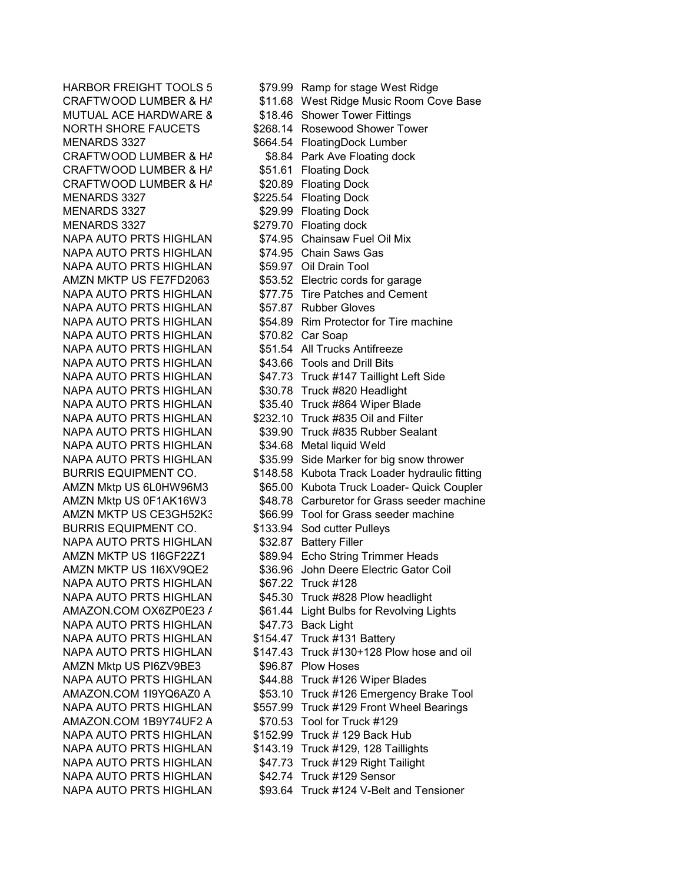MUTUAL ACE HARDWARE 8 \$18.46 Shower Tower Fittings<br>NORTH SHORE FAUCETS \$268.14 Rosewood Shower Tow CRAFTWOOD LUMBER & HA CRAFTWOOD LUMBER & HA \$20.89 Floating Dock<br>MENARDS 3327 \$225.54 Floating Dock MENARDS 3327 **\$29.99 Floating Dock**<br>MENARDS 3327 **\$279.70 Floating dock** NAPA AUTO PRTS HIGHLAN \$74.95 Chainsaw Fuel Oil Mix<br>NAPA AUTO PRTS HIGHLAN \$74.95 Chain Saws Gas NAPA AUTO PRTS HIGHLAN NAPA AUTO PRTS HIGHLAN \$59.97 Oil Drain Tool NAPA AUTO PRTS HIGHLAN NAPA AUTO PRTS HIGHLAN \$70.82 Car Soap NAPA AUTO PRTS HIGHLAN \$51.54 All Trucks Antifreeze NAPA AUTO PRTS HIGHLAN \$43.66 Tools and Drill Bits NAPA AUTO PRTS HIGHLAN \$30.78 Truck #820 Headlight NAPA AUTO PRTS HIGHLAN \$34.68 Metal liquid Weld BURRIS EQUIPMENT CO. \$133.94 Sod cutter Pulleys NAPA AUTO PRTS HIGHLAN \$32.87 Battery Filler NAPA AUTO PRTS HIGHLAN \$67.22 Truck #128 NAPA AUTO PRTS HIGHLAN \$47.73 Back Light NAPA AUTO PRTS HIGHLAN \$154.47 Truck #131 Battery AMZN Mktp US PI6ZV9BE3 \$96.87 Plow Hoses AMAZON.COM 1B9Y74UF2 A \$70.53 Tool for Truck #129 NAPA AUTO PRTS HIGHLAN \$152.99 Truck # 129 Back Hub NAPA AUTO PRTS HIGHLAN \$42.74 Truck #129 Sensor NAPA AUTO PRTS HIGHLAN \$93.64 Truck #124 V-Belt and Tensioner

HARBOR FREIGHT TOOLS 5 \$79.99 Ramp for stage West Ridge CRAFTWOOD LUMBER & H/ \$11.68 West Ridge Music Room Cove Base NORTH SHORE FAUCETS  $\begin{array}{r} 1.3327 \\ 1.4 \end{array}$  \$268.14 Rosewood Shower Tower<br>MENARDS 3327 S664.54 FloatingDock Lumber \$664.54 FloatingDock Lumber CRAFTWOOD LUMBER & HA \$8.84 Park Ave Floating dock<br>CRAFTWOOD LUMBER & HA \$51.61 Floating Dock \$225.54 Floating Dock \$279.70 Floating dock AMZN MKTP US FE7FD2063 \$53.52 Electric cords for garage NAPA AUTO PRTS HIGHLAN \$77.75 Tire Patches and Cement<br>NAPA AUTO PRTS HIGHLAN \$57.87 Rubber Gloves NAPA AUTO PRTS HIGHLAN \$54.89 Rim Protector for Tire machine NAPA AUTO PRTS HIGHLAN \$47.73 Truck #147 Taillight Left Side NAPA AUTO PRTS HIGHLAN \$35.40 Truck #864 Wiper Blade NAPA AUTO PRTS HIGHLAN \$232.10 Truck #835 Oil and Filter NAPA AUTO PRTS HIGHLAN \$39.90 Truck #835 Rubber Sealant NAPA AUTO PRTS HIGHLAN \$35.99 Side Marker for big snow thrower BURRIS EQUIPMENT CO. \$148.58 Kubota Track Loader hydraulic fitting AMZN Mktp US 6L0HW96M3 \$65.00 Kubota Truck Loader- Quick Coupler AMZN Mktp US 0F1AK16W3 \$48.78 Carburetor for Grass seeder machine AMZN MKTP US CE3GH52K: \$66.99 Tool for Grass seeder machine AMZN MKTP US 116GF22Z1 \$89.94 Echo String Trimmer Heads AMZN MKTP US 116XV9QE2 \$36.96 John Deere Electric Gator Coil NAPA AUTO PRTS HIGHLAN \$45.30 Truck #828 Plow headlight AMAZON.COM OX6ZP0E23 / \$61.44 Light Bulbs for Revolving Lights NAPA AUTO PRTS HIGHLAN \$147.43 Truck #130+128 Plow hose and oil NAPA AUTO PRTS HIGHLAN \$44.88 Truck #126 Wiper Blades AMAZON.COM 119YQ6AZ0 A \$53.10 Truck #126 Emergency Brake Tool NAPA AUTO PRTS HIGHLAN \$557.99 Truck #129 Front Wheel Bearings NAPA AUTO PRTS HIGHLAN \$143.19 Truck #129, 128 Taillights NAPA AUTO PRTS HIGHLAN \$47.73 Truck #129 Right Tailight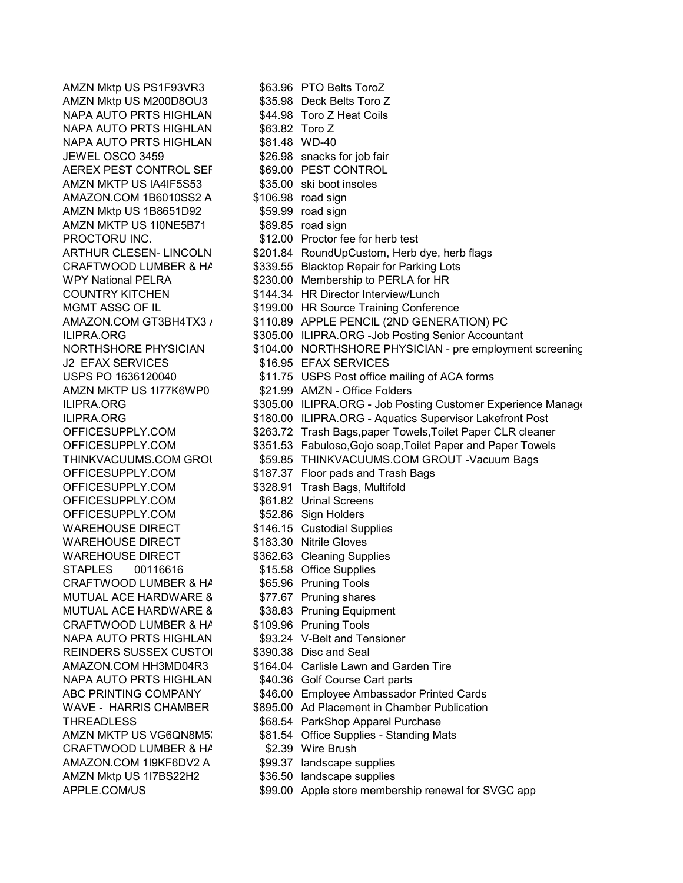AMZN Mktp US M200D8OU3 \$35.98 Deck Belts Toro Z NAPA AUTO PRTS HIGHLAN \$44.98 Toro Z Heat Coils<br>NAPA AUTO PRTS HIGHLAN \$63.82 Toro Z NAPA AUTO PRTS HIGHLAN \$63.82 Toro Z<br>NAPA AUTO PRTS HIGHLAN \$81.48 WD-40 NAPA AUTO PRTS HIGHLAN JEWEL OSCO 3459  $$26.98$  snacks for job fair<br>AEREX PEST CONTROL SEF \$69.00 PEST CONTROL AEREX PEST CONTROL SEF AMZN MKTP US IA4IF5S53  $\begin{array}{r} 35.00 \text{ skin} \\ \text{AMAZON.} \text{COM} \text{ 1B6010SS2 A} \end{array}$  \$106.98 road sign AMAZON.COM 1B6010SS2 A AMZN Mktp US 1B8651D92 \$59.99 road sign<br>AMZN MKTP US 1I0NE5B71 \$89.85 road sign AMZN MKTP US 1I0NE5B71 PROCTORU INC. **\$12.00** Proctor fee for herb test J2 EFAX SERVICES \$16.95 EFAX SERVICES AMZN MKTP US 1177K6WP0 \$21.99 AMZN - Office Folders OFFICESUPPLY.COM \$61.82 Urinal Screens OFFICESUPPLY.COM \$52.86 Sign Holders WAREHOUSE DIRECT \$146.15 Custodial Supplies WAREHOUSE DIRECT \$183.30 Nitrile Gloves WAREHOUSE DIRECT \$362.63 Cleaning Supplies STAPLES 00116616 \$15.58 Office Supplies CRAFTWOOD LUMBER & HA \$65.96 Pruning Tools MUTUAL ACE HARDWARE & \$77.67 Pruning shares MUTUAL ACE HARDWARE 8 \$38.83 Pruning Equipment CRAFTWOOD LUMBER & HAND \$109.96 Pruning Tools NAPA AUTO PRTS HIGHLAN \$93.24 V-Belt and Tensioner REINDERS SUSSEX CUSTO \$390.38 Disc and Seal NAPA AUTO PRTS HIGHLAN \$40.36 Golf Course Cart parts CRAFTWOOD LUMBER & HA \$2.39 Wire Brush AMAZON.COM 1I9KF6DV2 A \$99.37 landscape supplies AMZN Mktp US 1I7BS22H2 \$36.50 landscape supplies APPLE.COM/US **\$99.00** Apple store membership renewal for SVGC app

AMZN Mktp US PS1F93VR3 \$63.96 PTO Belts ToroZ ARTHUR CLESEN- LINCOLN \$201.84 RoundUpCustom, Herb dye, herb flags CRAFTWOOD LUMBER & H/ \$339.55 Blacktop Repair for Parking Lots WPY National PELRA  $$230.00$  Membership to PERLA for HR COUNTRY KITCHEN \$144.34 HR Director Interview/Lunch MGMT ASSC OF IL \$199.00 HR Source Training Conference AMAZON.COM GT3BH4TX3 / \$110.89 APPLE PENCIL (2ND GENERATION) PC ILIPRA.ORG **\$305.00 ILIPRA.ORG** -Job Posting Senior Accountant NORTHSHORE PHYSICIAN \$104.00 NORTHSHORE PHYSICIAN - pre employment screening USPS PO 1636120040 \$11.75 USPS Post office mailing of ACA forms ILIPRA.ORG **\$305.00 ILIPRA.ORG - Job Posting Customer Experience Manage** ILIPRA.ORG **\$180.00 ILIPRA.ORG - Aquatics Supervisor Lakefront Post** OFFICESUPPLY.COM \$263.72 Trash Bags,paper Towels, Toilet Paper CLR cleaner OFFICESUPPLY.COM \$351.53 Fabuloso,Gojo soap,Toilet Paper and Paper Towels THINKVACUUMS.COM GROU \$59.85 THINKVACUUMS.COM GROUT -Vacuum Bags OFFICESUPPLY.COM \$187.37 Floor pads and Trash Bags<br>OFFICESUPPLY.COM \$328.91 Trash Bags. Multifold \$328.91 Trash Bags, Multifold AMAZON.COM HH3MD04R3 \$164.04 Carlisle Lawn and Garden Tire ABC PRINTING COMPANY \$46.00 Employee Ambassador Printed Cards WAVE - HARRIS CHAMBER \$895.00 Ad Placement in Chamber Publication THREADLESS \$68.54 ParkShop Apparel Purchase AMZN MKTP US VG6QN8M5 \$81.54 Office Supplies - Standing Mats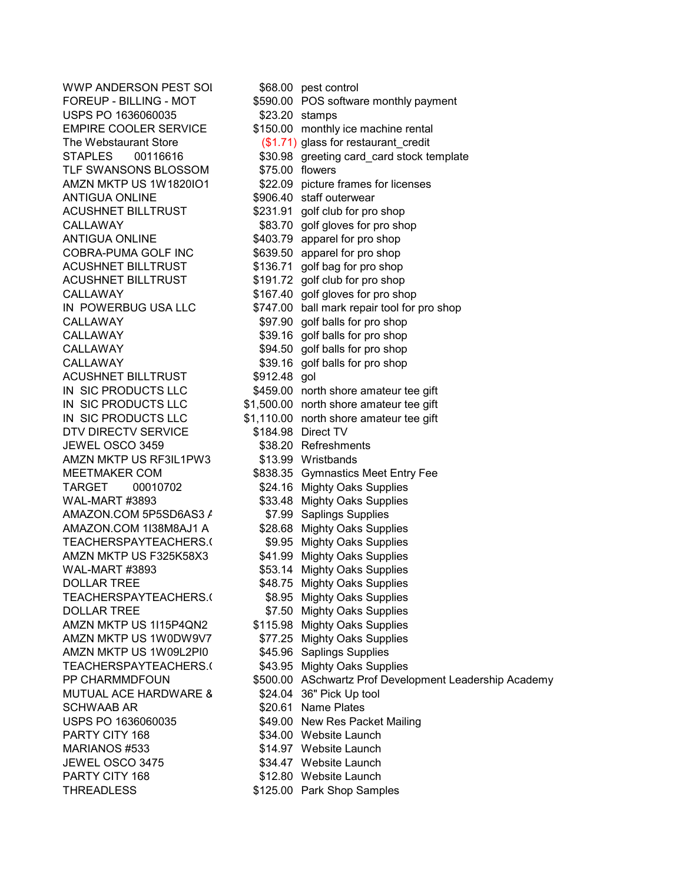WWP ANDERSON PEST SOL \$68.00 pest control USPS PO 1636060035 <br>EMPIRE COOLER SERVICE \$150.00 monthly TLF SWANSONS BLOSSOM ACUSHNET BILLTRUST \$231.91 golf club for pro shop<br>CALLAWAY \$83.70 golf gloves for pro sho ANTIGUA ONLINE \$403.79 apparel for pro shop COBRA-PUMA GOLF INC \$639.50 apparel for pro shop ACUSHNET BILLTRUST \$136.71 golf bag for pro shop ACUSHNET BILLTRUST \$191.72 golf club for pro shop CALLAWAY \$97.90 golf balls for pro shop CALLAWAY \$39.16 golf balls for pro shop CALLAWAY \$94.50 golf balls for pro shop CALLAWAY \$39.16 golf balls for pro shop ACUSHNET BILLTRUST \$912.48 gol DTV DIRECTV SERVICE \$184.98 Direct TV JEWEL OSCO 3459 \$38.20 Refreshments AMZN MKTP US RF3IL1PW3 \$13.99 Wristbands TARGET 00010702 \$24.16 Mighty Oaks Supplies WAL-MART #3893 \$33.48 Mighty Oaks Supplies AMAZON.COM 5P5SD6AS3 / \$7.99 Saplings Supplies AMAZON.COM 1I38M8AJ1 A \$28.68 Mighty Oaks Supplies TEACHERSPAYTEACHERS.<sup>(</sup> \$9.95 Mighty Oaks Supplies AMZN MKTP US F325K58X3 \$41.99 Mighty Oaks Supplies WAL-MART #3893 \$53.14 Mighty Oaks Supplies DOLLAR TREE \$48.75 Mighty Oaks Supplies TEACHERSPAYTEACHERS.<sup>(</sup> \$8.95 Mighty Oaks Supplies DOLLAR TREE \$7.50 Mighty Oaks Supplies AMZN MKTP US 1I15P4QN2 \$115.98 Mighty Oaks Supplies AMZN MKTP US 1W0DW9V7 \$77.25 Mighty Oaks Supplies AMZN MKTP US 1W09L2PI0 \$45.96 Saplings Supplies TEACHERSPAYTEACHERS.<sup>(</sup> \$43.95 Mighty Oaks Supplies MUTUAL ACE HARDWARE 8 \$24.04 36" Pick Up tool SCHWAAB AR  $$20.61$  Name Plates PARTY CITY 168  $$34.00$  Website Launch MARIANOS #533 \$14.97 Website Launch JEWEL OSCO 3475 \$34.47 Website Launch PARTY CITY 168  $$12.80$  Website Launch THREADLESS \$125.00 Park Shop Samples

FOREUP - BILLING - MOT \$590.00 POS software monthly payment EMPIRE COOLER SERVICE \$150.00 monthly ice machine rental<br>The Webstaurant Store (\$1.71) glass for restaurant credit  $($1.71)$  glass for restaurant credit STAPLES 00116616 \$30.98 greeting card\_card stock template<br>TLF SWANSONS BLOSSOM \$75.00 flowers AMZN MKTP US 1W1820IO1 \$22.09 picture frames for licenses<br>ANTIGUA ONLINE \$906.40 staff outerwear \$906.40 staff outerwear \$83.70 golf gloves for pro shop CALLAWAY \$167.40 golf gloves for pro shop IN POWERBUG USA LLC \$747.00 ball mark repair tool for pro shop IN SIC PRODUCTS LLC \$459.00 north shore amateur tee gift IN SIC PRODUCTS LLC \$1,500.00 north shore amateur tee gift IN SIC PRODUCTS LLC \$1,110.00 north shore amateur tee gift MEETMAKER COM \$838.35 Gymnastics Meet Entry Fee PP CHARMMDFOUN \$500.00 ASchwartz Prof Development Leadership Academy USPS PO 1636060035 <br>\$49.00 New Res Packet Mailing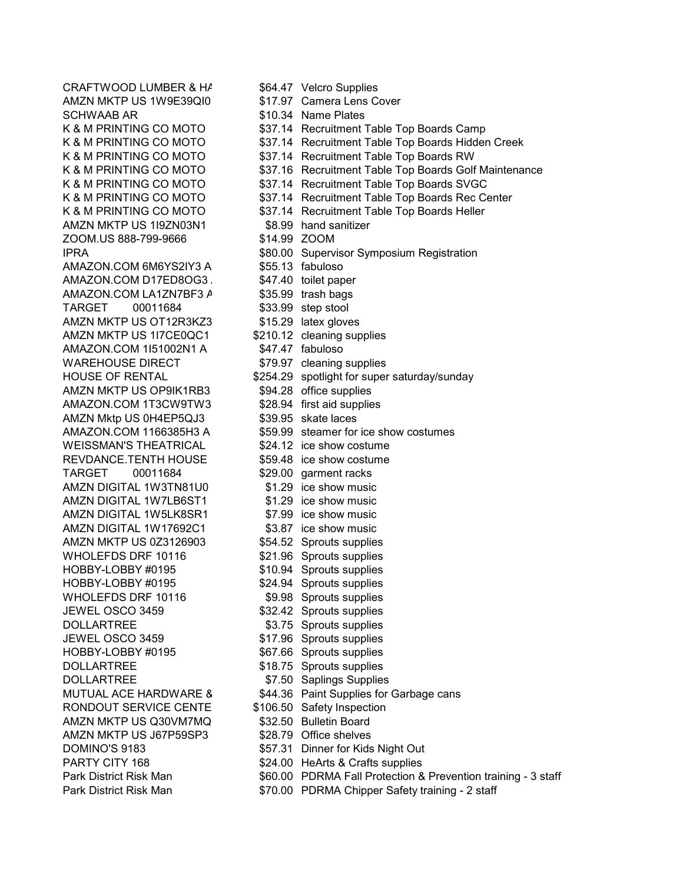AMZN MKTP US 1W9F39Q10 \$17.97 Camera Lens Cover SCHWAAB AR  $$10.34$  Name Plates<br>K & M PRINTING CO MOTO  $$37.14$  Recruitment AMZN MKTP US 1I9ZN03N1 ZOOM.US 888-799-9666 \$14.99 ZOOM AMAZON.COM 6M6YS2IY3 A \$55.13 fabuloso AMAZON.COM D17ED8OG3 \$47.40 toilet paper AMAZON.COM LA1ZN7BF3 A \$35.99 trash bags TARGET 00011684 \$33.99 step stool AMZN MKTP US OT12R3KZ3 \$15.29 latex gloves AMZN MKTP US 1I7CE0QC1 \$210.12 cleaning supplies AMAZON.COM 1151002N1 A \$47.47 fabuloso WAREHOUSE DIRECT \$79.97 cleaning supplies AMZN MKTP US OP9IK1RB3 \$94.28 office supplies AMAZON.COM 1T3CW9TW3 \$28.94 first aid supplies AMZN Mktp US 0H4EP5QJ3 \$39.95 skate laces WEISSMAN'S THEATRICAL \$24.12 ice show costume REVDANCE.TENTH HOUSE \$59.48 ice show costume TARGET 00011684 \$29.00 garment racks<br>AMZN DIGITAL 1W3TN81U0 \$1.29 ice show music AMZN DIGITAL 1W3TN81U0 AMZN DIGITAL 1W7LB6ST1 \$1.29 ice show music AMZN DIGITAL 1W5LK8SR1 \$7.99 ice show music AMZN DIGITAL 1W17692C1 \$3.87 ice show music AMZN MKTP US 0Z3126903 \$54.52 Sprouts supplies WHOLEFDS DRF 10116 \$21.96 Sprouts supplies HOBBY-LOBBY #0195 \$10.94 Sprouts supplies HOBBY-LOBBY #0195 \$24.94 Sprouts supplies WHOLEFDS DRF 10116 \$9.98 Sprouts supplies JEWEL OSCO 3459 \$32.42 Sprouts supplies DOLLARTREE \$3.75 Sprouts supplies JEWEL OSCO 3459 \$17.96 Sprouts supplies HOBBY-LOBBY #0195 \$67.66 Sprouts supplies DOLLARTREE \$18.75 Sprouts supplies DOLLARTREE \$7.50 Saplings Supplies RONDOUT SERVICE CENTE \$106.50 Safety Inspection AMZN MKTP US Q30VM7MQ \$32.50 Bulletin Board AMZN MKTP US J67P59SP3 \$28.79 Office shelves

CRAFTWOOD LUMBER & HA \$64.47 Velcro Supplies K & M PRINTING CO MOTO<br>
K & M PRINTING CO MOTO 
S37.14 Recruitment Table Top Boards Hidder \$37.14 Recruitment Table Top Boards Hidden Creek K & M PRINTING CO MOTO  $\begin{array}{r} 6837.14 \quad \text{Recruitment} \end{array}$  Table Top Boards RW<br>K & M PRINTING CO MOTO  $\begin{array}{r} 637.16 \quad \text{Recruitment} \end{array}$  Table Top Boards Golf \$37.16 Recruitment Table Top Boards Golf Maintenance K & M PRINTING CO MOTO  $\begin{array}{r} 637.14 \quad \text{Recruitment Table Top \, Board} \\ \text{K & M \text{ PRINTING CO \, MOTO} \end{array}$   $\begin{array}{r} 337.14 \quad \text{Recruitment Table Top \, Boards \, Rec \, Cl} \end{array}$ \$37.14 Recruitment Table Top Boards Rec Center K & M PRINTING CO MOTO  $\begin{array}{r} 6837.14 \quad \text{Recruitment} \end{array}$  Table Top Boards Heller<br>AMZN MKTP US 119ZN03N1  $\begin{array}{r} 88.99 \quad \text{hand}\ \text{sanitizer} \end{array}$ IPRA \$80.00 Supervisor Symposium Registration HOUSE OF RENTAL \$254.29 spotlight for super saturday/sunday AMAZON.COM 1166385H3 A \$59.99 steamer for ice show costumes MUTUAL ACE HARDWARE 8 \$44.36 Paint Supplies for Garbage cans DOMINO'S 9183 \$57.31 Dinner for Kids Night Out PARTY CITY 168  $$24.00$  HeArts & Crafts supplies Park District Risk Man  $$60.00$  PDRMA Fall Protection & Prevention training - 3 staff Park District Risk Man  $$70.00$  PDRMA Chipper Safety training - 2 staff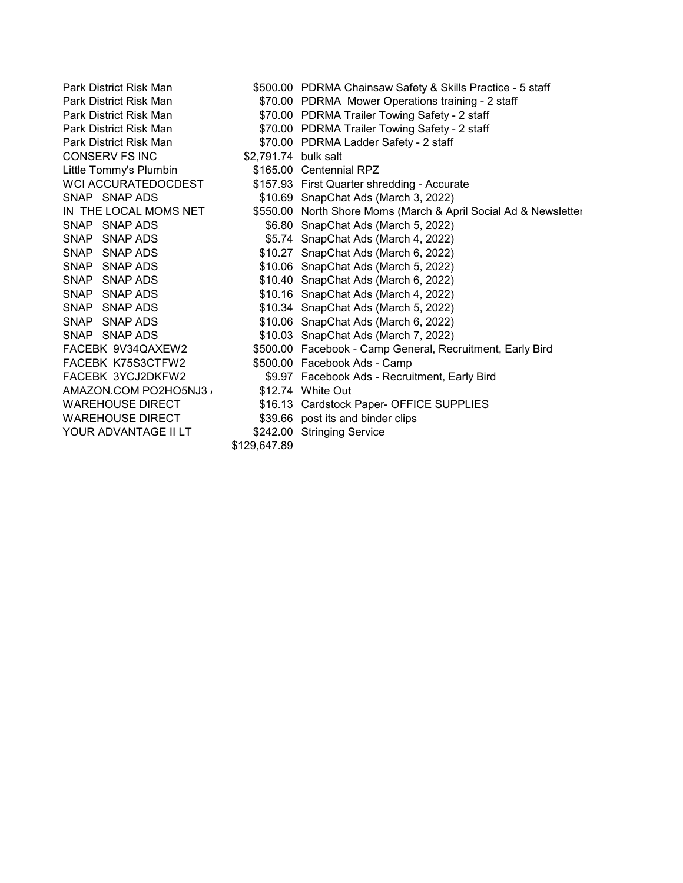CONSERV FS INC \$2,791.74 bulk salt<br>
Little Tommy's Plumbin \$165.00 Centennial RPZ Little Tommy's Plumbin FACEBK K75S3CTFW2 \$500.00 Facebook Ads - Camp AMAZON.COM PO2HO5NJ3 WAREHOUSE DIRECT \$39.66 post its and binder clips YOUR ADVANTAGE II LT \$242.00 Stringing Service

Park District Risk Man \$500.00 PDRMA Chainsaw Safety & Skills Practice - 5 staff Park District Risk Man \$70.00 PDRMA Mower Operations training - 2 staff Park District Risk Man  $$70.00$  PDRMA Trailer Towing Safety - 2 staff Park District Risk Man  $$70.00$  PDRMA Trailer Towing Safety - 2 staff<br>Park District Risk Man  $$70.00$  PDRMA Ladder Safety - 2 staff \$70.00 PDRMA Ladder Safety - 2 staff WCI ACCURATEDOCDEST \$157.93 First Quarter shredding - Accurate<br>\$10.69 SnapChat Ads (March 3, 2022) \$10.69 Snap Chat Ads (March 3, 2022) IN THE LOCAL MOMS NET \$550.00 North Shore Moms (March & April Social Ad & Newsletter SNAP SNAP ADS \$6.80 SnapChat Ads (March 5. 2022) \$6.80 Snap Chat Ads (March 5, 2022) SNAP SNAP ADS<br>
SNAP SNAP ADS<br>
\$10.27 SnapChat Ads (March 6, 2022) SNAP SNAP ADS<br>
SNAP SNAP ADS<br>
\$10.06 SnapChat Ads (March 5, 2022) \$10.06 Snap Chat Ads (March 5, 2022) SNAP SNAP ADS<br>
SNAP SNAP ADS<br>
\$10.16 SnapChat Ads (March 4, 2022)  $$10.16$  SnapChat Ads (March 4, 2022) SNAP SNAP ADS<br>
SNAP SNAP ADS<br>
SNAP SNAP ADS<br>
\$10.06 SnapChat Ads (March 6, 2022) SNAP SNAP ADS \$10.06 SnapChat Ads (March 6, 2022)<br>SNAP SNAP ADS \$10.03 SnapChat Ads (March 7, 2022) \$10.03 Snap Chat Ads (March 7, 2022) FACEBK 9V34QAXEW2 \$500.00 Facebook - Camp General, Recruitment, Early Bird FACEBK 3YCJ2DKFW2 \$9.97 Facebook Ads - Recruitment, Early Bird WAREHOUSE DIRECT \$16.13 Cardstock Paper- OFFICE SUPPLIES

\$129,647.89